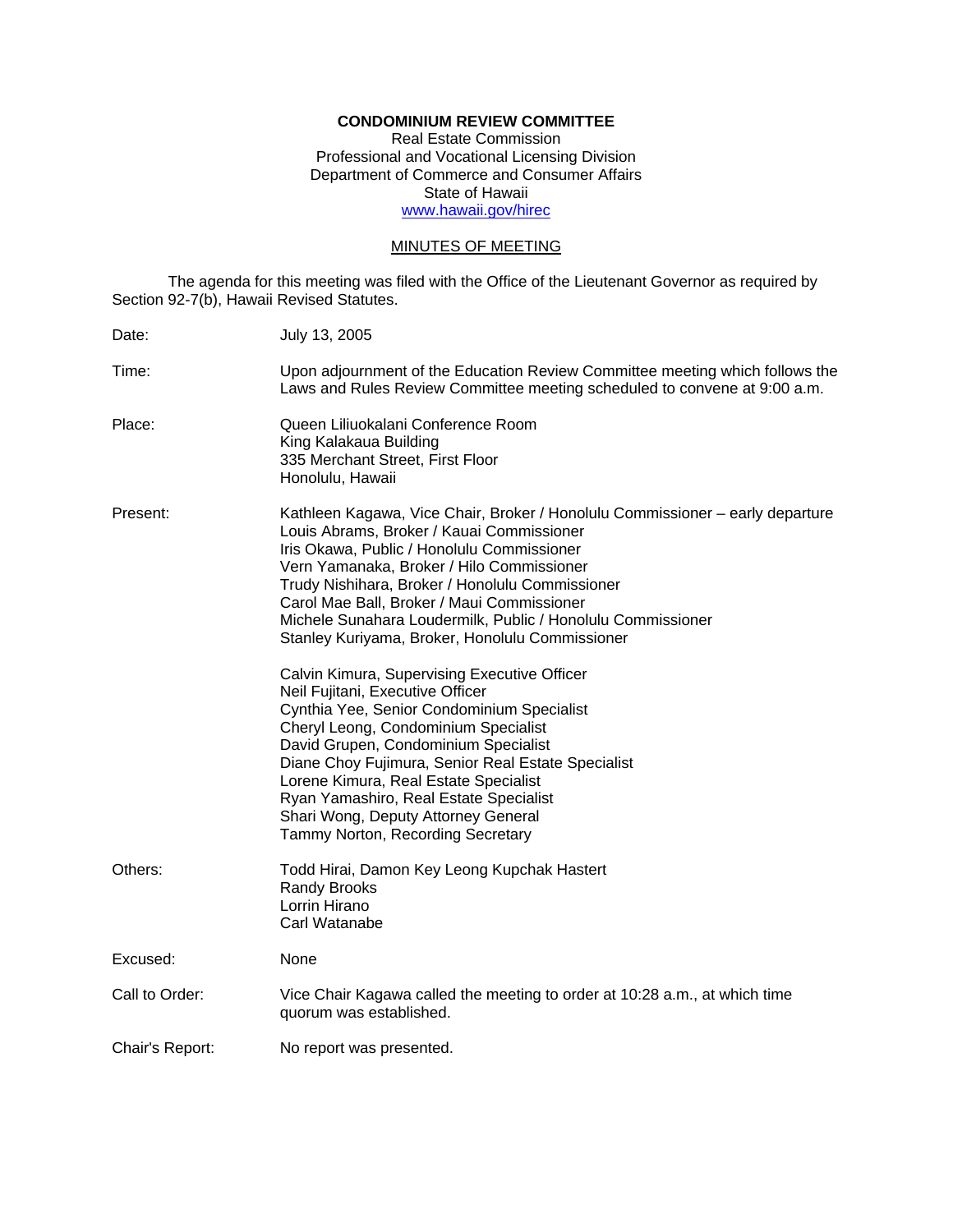# **CONDOMINIUM REVIEW COMMITTEE**

Real Estate Commission Professional and Vocational Licensing Division Department of Commerce and Consumer Affairs State of Hawaii www.hawaii.gov/hirec

## MINUTES OF MEETING

The agenda for this meeting was filed with the Office of the Lieutenant Governor as required by Section 92-7(b), Hawaii Revised Statutes.

| Date:           | July 13, 2005                                                                                                                                                                                                                                                                                                                                                                                                                            |
|-----------------|------------------------------------------------------------------------------------------------------------------------------------------------------------------------------------------------------------------------------------------------------------------------------------------------------------------------------------------------------------------------------------------------------------------------------------------|
| Time:           | Upon adjournment of the Education Review Committee meeting which follows the<br>Laws and Rules Review Committee meeting scheduled to convene at 9:00 a.m.                                                                                                                                                                                                                                                                                |
| Place:          | Queen Liliuokalani Conference Room<br>King Kalakaua Building<br>335 Merchant Street, First Floor<br>Honolulu, Hawaii                                                                                                                                                                                                                                                                                                                     |
| Present:        | Kathleen Kagawa, Vice Chair, Broker / Honolulu Commissioner – early departure<br>Louis Abrams, Broker / Kauai Commissioner<br>Iris Okawa, Public / Honolulu Commissioner<br>Vern Yamanaka, Broker / Hilo Commissioner<br>Trudy Nishihara, Broker / Honolulu Commissioner<br>Carol Mae Ball, Broker / Maui Commissioner<br>Michele Sunahara Loudermilk, Public / Honolulu Commissioner<br>Stanley Kuriyama, Broker, Honolulu Commissioner |
|                 | Calvin Kimura, Supervising Executive Officer<br>Neil Fujitani, Executive Officer<br>Cynthia Yee, Senior Condominium Specialist<br>Cheryl Leong, Condominium Specialist<br>David Grupen, Condominium Specialist<br>Diane Choy Fujimura, Senior Real Estate Specialist<br>Lorene Kimura, Real Estate Specialist<br>Ryan Yamashiro, Real Estate Specialist<br>Shari Wong, Deputy Attorney General<br>Tammy Norton, Recording Secretary      |
| Others:         | Todd Hirai, Damon Key Leong Kupchak Hastert<br>Randy Brooks<br>Lorrin Hirano<br>Carl Watanabe                                                                                                                                                                                                                                                                                                                                            |
| Excused:        | None                                                                                                                                                                                                                                                                                                                                                                                                                                     |
| Call to Order:  | Vice Chair Kagawa called the meeting to order at 10:28 a.m., at which time<br>quorum was established.                                                                                                                                                                                                                                                                                                                                    |
| Chair's Report: | No report was presented.                                                                                                                                                                                                                                                                                                                                                                                                                 |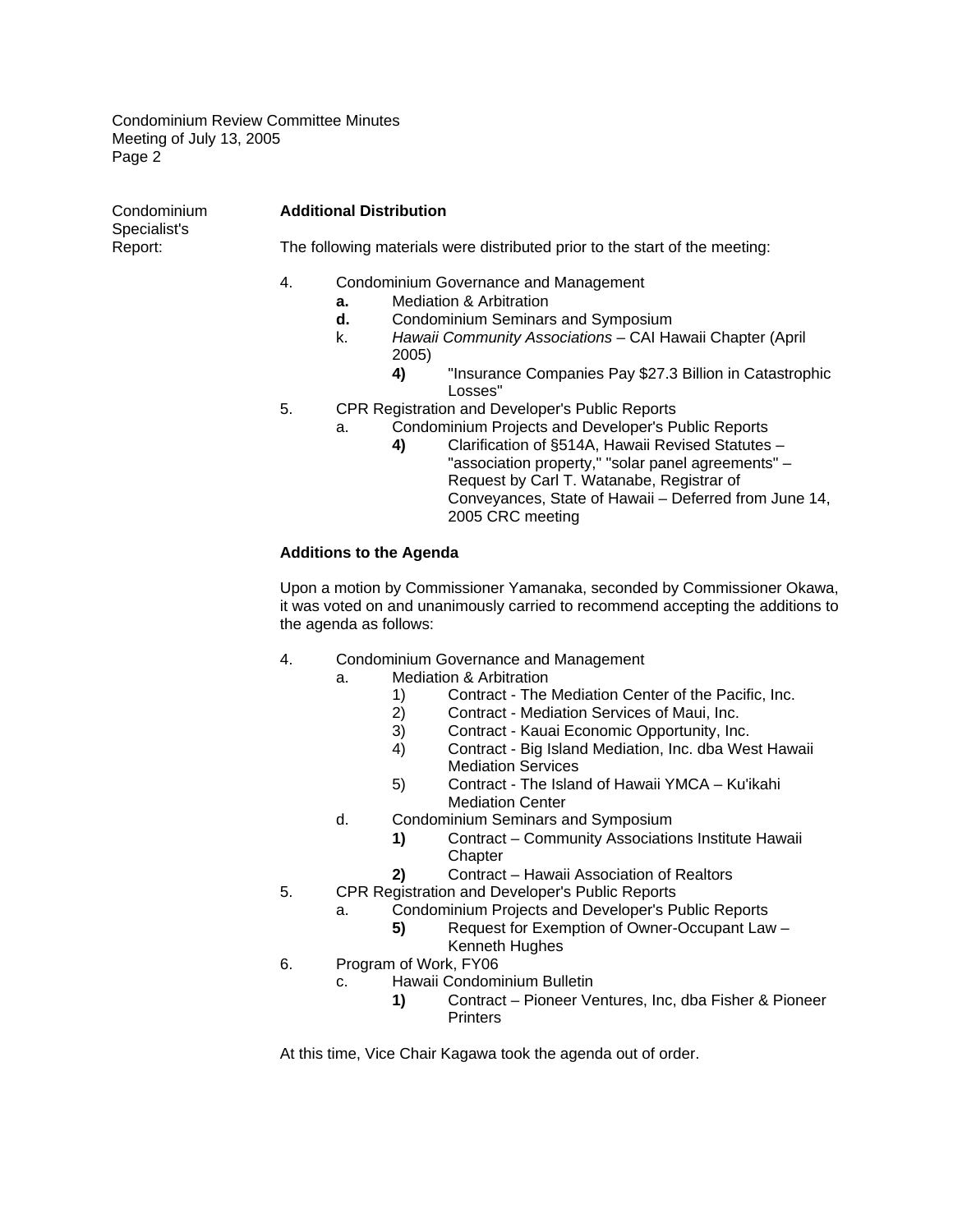| Condominium             | <b>Additional Distribution</b><br>The following materials were distributed prior to the start of the meeting:                                                                                                                                                                                                                             |  |  |  |  |
|-------------------------|-------------------------------------------------------------------------------------------------------------------------------------------------------------------------------------------------------------------------------------------------------------------------------------------------------------------------------------------|--|--|--|--|
| Specialist's<br>Report: |                                                                                                                                                                                                                                                                                                                                           |  |  |  |  |
|                         | 4.<br>Condominium Governance and Management<br><b>Mediation &amp; Arbitration</b><br>a.<br>Condominium Seminars and Symposium<br>d.<br>Hawaii Community Associations - CAI Hawaii Chapter (April<br>k.<br>2005)<br>"Insurance Companies Pay \$27.3 Billion in Catastrophic<br>4)<br>Losses"                                               |  |  |  |  |
|                         | 5.<br>CPR Registration and Developer's Public Reports<br>Condominium Projects and Developer's Public Reports<br>a.<br>Clarification of §514A, Hawaii Revised Statutes -<br>4)<br>"association property," "solar panel agreements" -<br>Request by Carl T. Watanabe, Registrar of<br>Conveyances, State of Hawaii - Deferred from June 14, |  |  |  |  |

# **Additions to the Agenda**

Upon a motion by Commissioner Yamanaka, seconded by Commissioner Okawa, it was voted on and unanimously carried to recommend accepting the additions to the agenda as follows:

2005 CRC meeting

- 4. Condominium Governance and Management
	- a. Mediation & Arbitration
		- 1) Contract The Mediation Center of the Pacific, Inc.
		- 2) Contract Mediation Services of Maui, Inc.<br>3) Contract Kauai Economic Opportunity. Inc.
		- 3) Contract Kauai Economic Opportunity, Inc.
		- 4) Contract Big Island Mediation, Inc. dba West Hawaii Mediation Services
		- 5) Contract The Island of Hawaii YMCA Ku'ikahi Mediation Center
	- d. Condominium Seminars and Symposium
		- **1)** Contract Community Associations Institute Hawaii **Chapter**
		- **2)** Contract Hawaii Association of Realtors
- 5. CPR Registration and Developer's Public Reports
	- a. Condominium Projects and Developer's Public Reports
		- **5)** Request for Exemption of Owner-Occupant Law –
	- Kenneth Hughes
- 6. Program of Work, FY06
	- c. Hawaii Condominium Bulletin
		- **1)** Contract Pioneer Ventures, Inc, dba Fisher & Pioneer **Printers**

At this time, Vice Chair Kagawa took the agenda out of order.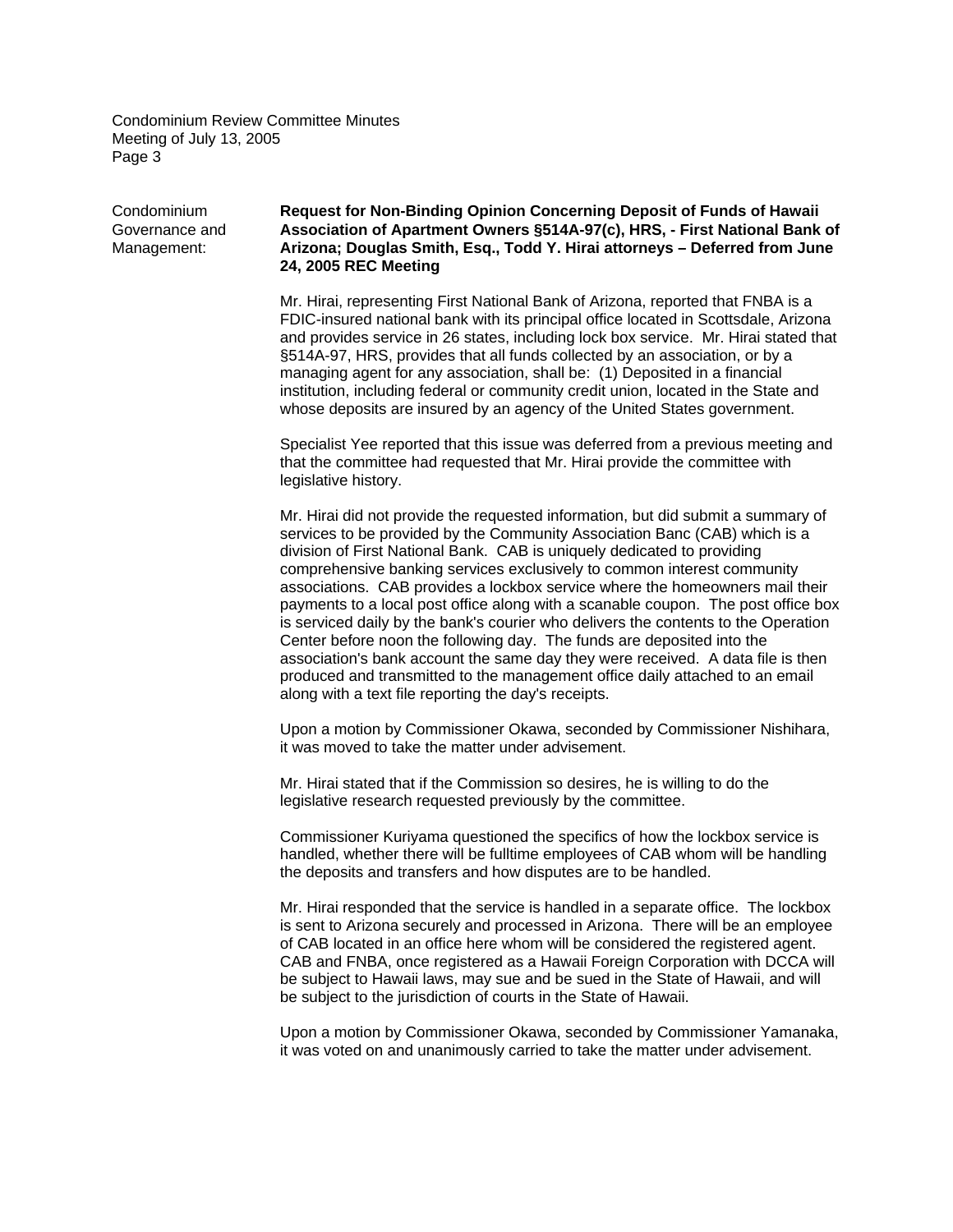### Condominium **Request for Non-Binding Opinion Concerning Deposit of Funds of Hawaii**  Governance and **Association of Apartment Owners §514A-97(c), HRS, - First National Bank of**  Management: **Arizona; Douglas Smith, Esq., Todd Y. Hirai attorneys – Deferred from June 24, 2005 REC Meeting**

Mr. Hirai, representing First National Bank of Arizona, reported that FNBA is a FDIC-insured national bank with its principal office located in Scottsdale, Arizona and provides service in 26 states, including lock box service. Mr. Hirai stated that §514A-97, HRS, provides that all funds collected by an association, or by a managing agent for any association, shall be: (1) Deposited in a financial institution, including federal or community credit union, located in the State and whose deposits are insured by an agency of the United States government.

Specialist Yee reported that this issue was deferred from a previous meeting and that the committee had requested that Mr. Hirai provide the committee with legislative history.

Mr. Hirai did not provide the requested information, but did submit a summary of services to be provided by the Community Association Banc (CAB) which is a division of First National Bank. CAB is uniquely dedicated to providing comprehensive banking services exclusively to common interest community associations. CAB provides a lockbox service where the homeowners mail their payments to a local post office along with a scanable coupon. The post office box is serviced daily by the bank's courier who delivers the contents to the Operation Center before noon the following day. The funds are deposited into the association's bank account the same day they were received. A data file is then produced and transmitted to the management office daily attached to an email along with a text file reporting the day's receipts.

Upon a motion by Commissioner Okawa, seconded by Commissioner Nishihara, it was moved to take the matter under advisement.

Mr. Hirai stated that if the Commission so desires, he is willing to do the legislative research requested previously by the committee.

Commissioner Kuriyama questioned the specifics of how the lockbox service is handled, whether there will be fulltime employees of CAB whom will be handling the deposits and transfers and how disputes are to be handled.

Mr. Hirai responded that the service is handled in a separate office. The lockbox is sent to Arizona securely and processed in Arizona. There will be an employee of CAB located in an office here whom will be considered the registered agent. CAB and FNBA, once registered as a Hawaii Foreign Corporation with DCCA will be subject to Hawaii laws, may sue and be sued in the State of Hawaii, and will be subject to the jurisdiction of courts in the State of Hawaii.

Upon a motion by Commissioner Okawa, seconded by Commissioner Yamanaka, it was voted on and unanimously carried to take the matter under advisement.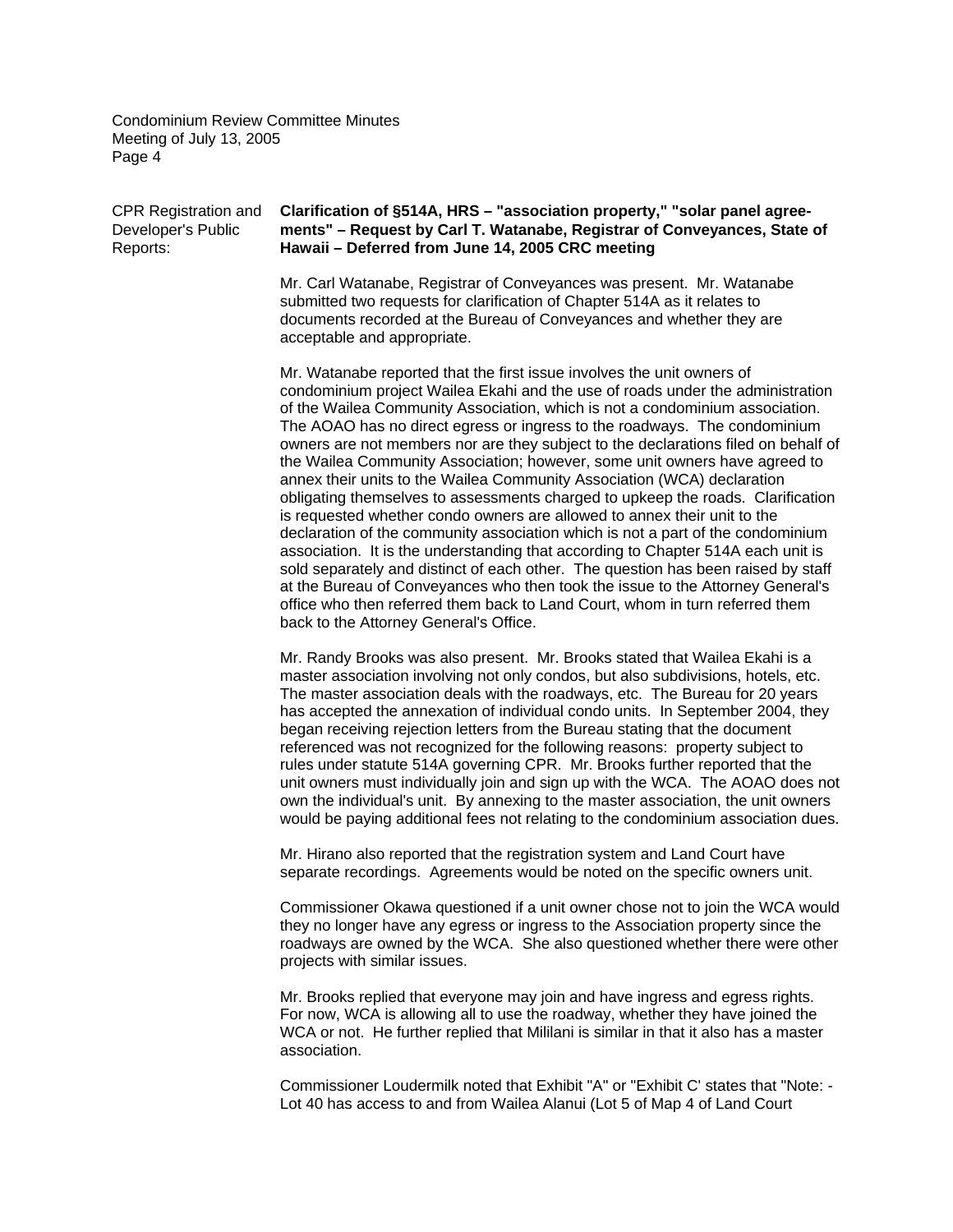#### CPR Registration and **Clarification of §514A, HRS – "association property," "solar panel agree-**Developer's Public **ments" – Request by Carl T. Watanabe, Registrar of Conveyances, State of**  Reports: **Hawaii – Deferred from June 14, 2005 CRC meeting**

Mr. Carl Watanabe, Registrar of Conveyances was present. Mr. Watanabe submitted two requests for clarification of Chapter 514A as it relates to documents recorded at the Bureau of Conveyances and whether they are acceptable and appropriate.

Mr. Watanabe reported that the first issue involves the unit owners of condominium project Wailea Ekahi and the use of roads under the administration of the Wailea Community Association, which is not a condominium association. The AOAO has no direct egress or ingress to the roadways. The condominium owners are not members nor are they subject to the declarations filed on behalf of the Wailea Community Association; however, some unit owners have agreed to annex their units to the Wailea Community Association (WCA) declaration obligating themselves to assessments charged to upkeep the roads. Clarification is requested whether condo owners are allowed to annex their unit to the declaration of the community association which is not a part of the condominium association. It is the understanding that according to Chapter 514A each unit is sold separately and distinct of each other. The question has been raised by staff at the Bureau of Conveyances who then took the issue to the Attorney General's office who then referred them back to Land Court, whom in turn referred them back to the Attorney General's Office.

Mr. Randy Brooks was also present. Mr. Brooks stated that Wailea Ekahi is a master association involving not only condos, but also subdivisions, hotels, etc. The master association deals with the roadways, etc. The Bureau for 20 years has accepted the annexation of individual condo units. In September 2004, they began receiving rejection letters from the Bureau stating that the document referenced was not recognized for the following reasons: property subject to rules under statute 514A governing CPR. Mr. Brooks further reported that the unit owners must individually join and sign up with the WCA. The AOAO does not own the individual's unit. By annexing to the master association, the unit owners would be paying additional fees not relating to the condominium association dues.

Mr. Hirano also reported that the registration system and Land Court have separate recordings. Agreements would be noted on the specific owners unit.

Commissioner Okawa questioned if a unit owner chose not to join the WCA would they no longer have any egress or ingress to the Association property since the roadways are owned by the WCA. She also questioned whether there were other projects with similar issues.

Mr. Brooks replied that everyone may join and have ingress and egress rights. For now, WCA is allowing all to use the roadway, whether they have joined the WCA or not. He further replied that Mililani is similar in that it also has a master association.

Commissioner Loudermilk noted that Exhibit "A" or "Exhibit C' states that "Note: - Lot 40 has access to and from Wailea Alanui (Lot 5 of Map 4 of Land Court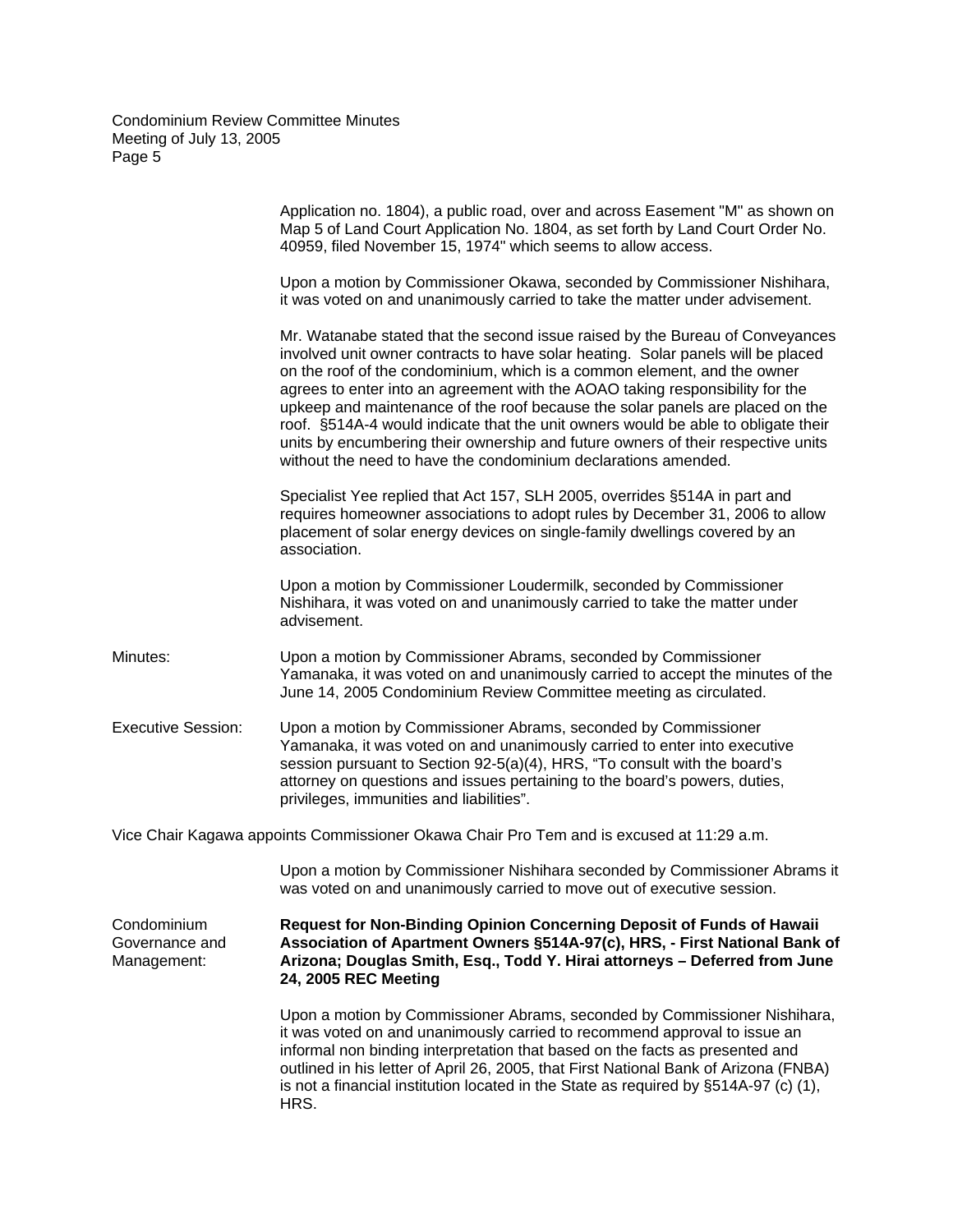|                                              | Application no. 1804), a public road, over and across Easement "M" as shown on<br>Map 5 of Land Court Application No. 1804, as set forth by Land Court Order No.<br>40959, filed November 15, 1974" which seems to allow access.                                                                                                                                                                                                                                                                                                                                                                                                                           |
|----------------------------------------------|------------------------------------------------------------------------------------------------------------------------------------------------------------------------------------------------------------------------------------------------------------------------------------------------------------------------------------------------------------------------------------------------------------------------------------------------------------------------------------------------------------------------------------------------------------------------------------------------------------------------------------------------------------|
|                                              | Upon a motion by Commissioner Okawa, seconded by Commissioner Nishihara,<br>it was voted on and unanimously carried to take the matter under advisement.                                                                                                                                                                                                                                                                                                                                                                                                                                                                                                   |
|                                              | Mr. Watanabe stated that the second issue raised by the Bureau of Conveyances<br>involved unit owner contracts to have solar heating. Solar panels will be placed<br>on the roof of the condominium, which is a common element, and the owner<br>agrees to enter into an agreement with the AOAO taking responsibility for the<br>upkeep and maintenance of the roof because the solar panels are placed on the<br>roof. §514A-4 would indicate that the unit owners would be able to obligate their<br>units by encumbering their ownership and future owners of their respective units<br>without the need to have the condominium declarations amended. |
|                                              | Specialist Yee replied that Act 157, SLH 2005, overrides §514A in part and<br>requires homeowner associations to adopt rules by December 31, 2006 to allow<br>placement of solar energy devices on single-family dwellings covered by an<br>association.                                                                                                                                                                                                                                                                                                                                                                                                   |
|                                              | Upon a motion by Commissioner Loudermilk, seconded by Commissioner<br>Nishihara, it was voted on and unanimously carried to take the matter under<br>advisement.                                                                                                                                                                                                                                                                                                                                                                                                                                                                                           |
| Minutes:                                     | Upon a motion by Commissioner Abrams, seconded by Commissioner<br>Yamanaka, it was voted on and unanimously carried to accept the minutes of the<br>June 14, 2005 Condominium Review Committee meeting as circulated.                                                                                                                                                                                                                                                                                                                                                                                                                                      |
| <b>Executive Session:</b>                    | Upon a motion by Commissioner Abrams, seconded by Commissioner<br>Yamanaka, it was voted on and unanimously carried to enter into executive<br>session pursuant to Section 92-5(a)(4), HRS, "To consult with the board's<br>attorney on questions and issues pertaining to the board's powers, duties,<br>privileges, immunities and liabilities".                                                                                                                                                                                                                                                                                                         |
|                                              | Vice Chair Kagawa appoints Commissioner Okawa Chair Pro Tem and is excused at 11:29 a.m.                                                                                                                                                                                                                                                                                                                                                                                                                                                                                                                                                                   |
|                                              | Upon a motion by Commissioner Nishihara seconded by Commissioner Abrams it<br>was voted on and unanimously carried to move out of executive session.                                                                                                                                                                                                                                                                                                                                                                                                                                                                                                       |
| Condominium<br>Governance and<br>Management: | Request for Non-Binding Opinion Concerning Deposit of Funds of Hawaii<br>Association of Apartment Owners §514A-97(c), HRS, - First National Bank of<br>Arizona; Douglas Smith, Esq., Todd Y. Hirai attorneys - Deferred from June<br>24, 2005 REC Meeting                                                                                                                                                                                                                                                                                                                                                                                                  |
|                                              | Upon a motion by Commissioner Abrams, seconded by Commissioner Nishihara,<br>it was voted on and unanimously carried to recommend approval to issue an<br>informal non binding interpretation that based on the facts as presented and<br>outlined in his letter of April 26, 2005, that First National Bank of Arizona (FNBA)<br>is not a financial institution located in the State as required by §514A-97 (c) (1),<br>HRS.                                                                                                                                                                                                                             |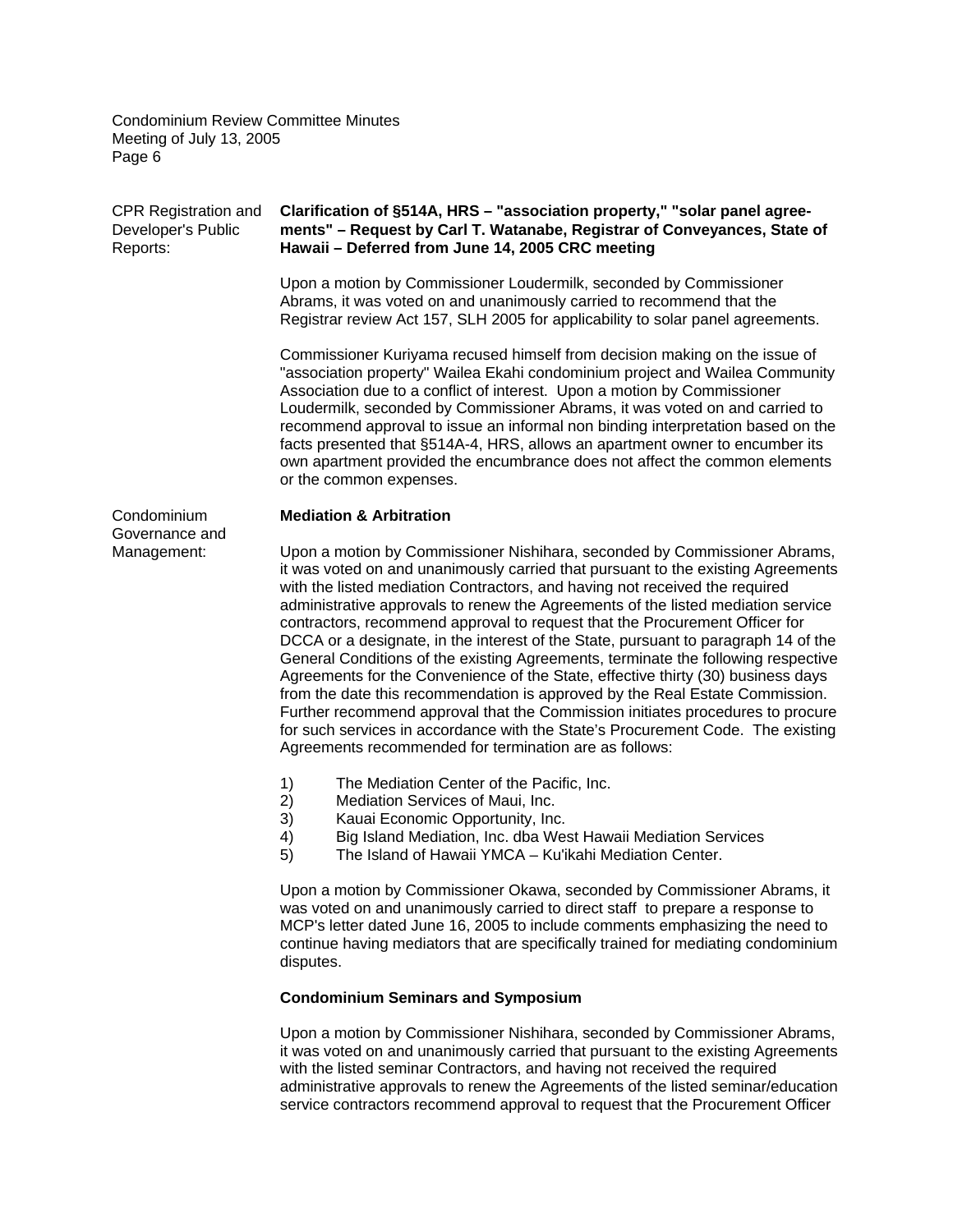| CPR Registration and<br>Developer's Public<br>Reports: | Clarification of §514A, HRS - "association property," "solar panel agree-<br>ments" - Request by Carl T. Watanabe, Registrar of Conveyances, State of<br>Hawaii - Deferred from June 14, 2005 CRC meeting                                                                                                                                                                                                                                                                                                                                                                                                                                                                                                                                                                                                                                                                                                                                                                                     |
|--------------------------------------------------------|-----------------------------------------------------------------------------------------------------------------------------------------------------------------------------------------------------------------------------------------------------------------------------------------------------------------------------------------------------------------------------------------------------------------------------------------------------------------------------------------------------------------------------------------------------------------------------------------------------------------------------------------------------------------------------------------------------------------------------------------------------------------------------------------------------------------------------------------------------------------------------------------------------------------------------------------------------------------------------------------------|
|                                                        | Upon a motion by Commissioner Loudermilk, seconded by Commissioner<br>Abrams, it was voted on and unanimously carried to recommend that the<br>Registrar review Act 157, SLH 2005 for applicability to solar panel agreements.                                                                                                                                                                                                                                                                                                                                                                                                                                                                                                                                                                                                                                                                                                                                                                |
|                                                        | Commissioner Kuriyama recused himself from decision making on the issue of<br>"association property" Wailea Ekahi condominium project and Wailea Community<br>Association due to a conflict of interest. Upon a motion by Commissioner<br>Loudermilk, seconded by Commissioner Abrams, it was voted on and carried to<br>recommend approval to issue an informal non binding interpretation based on the<br>facts presented that §514A-4, HRS, allows an apartment owner to encumber its<br>own apartment provided the encumbrance does not affect the common elements<br>or the common expenses.                                                                                                                                                                                                                                                                                                                                                                                             |
| Condominium<br>Governance and                          | <b>Mediation &amp; Arbitration</b>                                                                                                                                                                                                                                                                                                                                                                                                                                                                                                                                                                                                                                                                                                                                                                                                                                                                                                                                                            |
| Management:                                            | Upon a motion by Commissioner Nishihara, seconded by Commissioner Abrams,<br>it was voted on and unanimously carried that pursuant to the existing Agreements<br>with the listed mediation Contractors, and having not received the required<br>administrative approvals to renew the Agreements of the listed mediation service<br>contractors, recommend approval to request that the Procurement Officer for<br>DCCA or a designate, in the interest of the State, pursuant to paragraph 14 of the<br>General Conditions of the existing Agreements, terminate the following respective<br>Agreements for the Convenience of the State, effective thirty (30) business days<br>from the date this recommendation is approved by the Real Estate Commission.<br>Further recommend approval that the Commission initiates procedures to procure<br>for such services in accordance with the State's Procurement Code. The existing<br>Agreements recommended for termination are as follows: |
|                                                        | 1)<br>The Mediation Center of the Pacific, Inc.                                                                                                                                                                                                                                                                                                                                                                                                                                                                                                                                                                                                                                                                                                                                                                                                                                                                                                                                               |
|                                                        | 2)<br>Mediation Services of Maui, Inc.<br>3)<br>Kauai Economic Opportunity, Inc.                                                                                                                                                                                                                                                                                                                                                                                                                                                                                                                                                                                                                                                                                                                                                                                                                                                                                                              |
|                                                        | 4)<br>Big Island Mediation, Inc. dba West Hawaii Mediation Services                                                                                                                                                                                                                                                                                                                                                                                                                                                                                                                                                                                                                                                                                                                                                                                                                                                                                                                           |
|                                                        | 5)<br>The Island of Hawaii YMCA - Ku'ikahi Mediation Center.                                                                                                                                                                                                                                                                                                                                                                                                                                                                                                                                                                                                                                                                                                                                                                                                                                                                                                                                  |
|                                                        | Upon a motion by Commissioner Okawa, seconded by Commissioner Abrams, it<br>was voted on and unanimously carried to direct staff to prepare a response to<br>MCP's letter dated June 16, 2005 to include comments emphasizing the need to<br>continue having mediators that are specifically trained for mediating condominium<br>disputes.                                                                                                                                                                                                                                                                                                                                                                                                                                                                                                                                                                                                                                                   |
|                                                        | <b>Condominium Seminars and Symposium</b>                                                                                                                                                                                                                                                                                                                                                                                                                                                                                                                                                                                                                                                                                                                                                                                                                                                                                                                                                     |

Upon a motion by Commissioner Nishihara, seconded by Commissioner Abrams, it was voted on and unanimously carried that pursuant to the existing Agreements with the listed seminar Contractors, and having not received the required administrative approvals to renew the Agreements of the listed seminar/education service contractors recommend approval to request that the Procurement Officer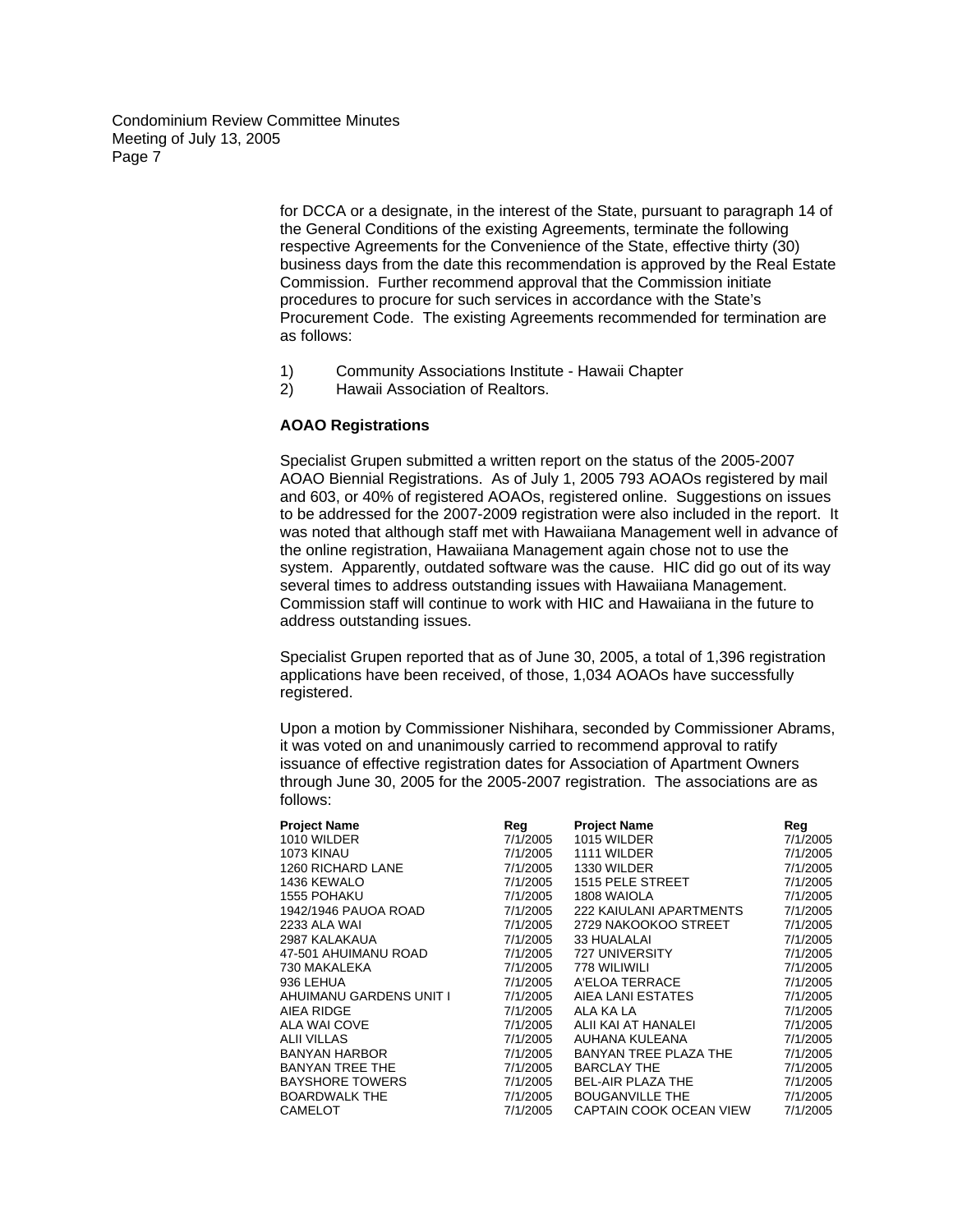> for DCCA or a designate, in the interest of the State, pursuant to paragraph 14 of the General Conditions of the existing Agreements, terminate the following respective Agreements for the Convenience of the State, effective thirty (30) business days from the date this recommendation is approved by the Real Estate Commission. Further recommend approval that the Commission initiate procedures to procure for such services in accordance with the State's Procurement Code. The existing Agreements recommended for termination are as follows:

- 1) Community Associations Institute Hawaii Chapter
- 2) Hawaii Association of Realtors.

#### **AOAO Registrations**

Specialist Grupen submitted a written report on the status of the 2005-2007 AOAO Biennial Registrations. As of July 1, 2005 793 AOAOs registered by mail and 603, or 40% of registered AOAOs, registered online. Suggestions on issues to be addressed for the 2007-2009 registration were also included in the report. It was noted that although staff met with Hawaiiana Management well in advance of the online registration, Hawaiiana Management again chose not to use the system. Apparently, outdated software was the cause. HIC did go out of its way several times to address outstanding issues with Hawaiiana Management. Commission staff will continue to work with HIC and Hawaiiana in the future to address outstanding issues.

Specialist Grupen reported that as of June 30, 2005, a total of 1,396 registration applications have been received, of those, 1,034 AOAOs have successfully registered.

Upon a motion by Commissioner Nishihara, seconded by Commissioner Abrams, it was voted on and unanimously carried to recommend approval to ratify issuance of effective registration dates for Association of Apartment Owners through June 30, 2005 for the 2005-2007 registration. The associations are as follows:

| <b>Project Name</b>     | Reg      | <b>Project Name</b>     | Reg      |
|-------------------------|----------|-------------------------|----------|
| 1010 WILDER             | 7/1/2005 | 1015 WILDER             | 7/1/2005 |
| 1073 KINAU              | 7/1/2005 | 1111 WILDER             | 7/1/2005 |
| 1260 RICHARD LANE       | 7/1/2005 | 1330 WILDER             | 7/1/2005 |
| 1436 KEWALO             | 7/1/2005 | 1515 PELE STREET        | 7/1/2005 |
| <b>1555 POHAKU</b>      | 7/1/2005 | 1808 WAIOLA             | 7/1/2005 |
| 1942/1946 PAUOA ROAD    | 7/1/2005 | 222 KAIULANI APARTMENTS | 7/1/2005 |
| 2233 ALA WAI            | 7/1/2005 | 2729 NAKOOKOO STREET    | 7/1/2005 |
| 2987 KALAKAUA           | 7/1/2005 | 33 HUALALAI             | 7/1/2005 |
| 47-501 AHUIMANU ROAD    | 7/1/2005 | 727 UNIVERSITY          | 7/1/2005 |
| 730 MAKALEKA            | 7/1/2005 | 778 WILIWILI            | 7/1/2005 |
| 936 LEHUA               | 7/1/2005 | A'ELOA TERRACE          | 7/1/2005 |
| AHUIMANU GARDENS UNIT I | 7/1/2005 | AIEA LANI ESTATES       | 7/1/2005 |
| AIEA RIDGE              | 7/1/2005 | ALA KA LA               | 7/1/2005 |
| ALA WAI COVE            | 7/1/2005 | ALII KAI AT HANALEI     | 7/1/2005 |
| <b>ALII VILLAS</b>      | 7/1/2005 | AUHANA KULEANA          | 7/1/2005 |
| <b>BANYAN HARBOR</b>    | 7/1/2005 | BANYAN TREE PLAZA THE   | 7/1/2005 |
| <b>BANYAN TREE THE</b>  | 7/1/2005 | <b>BARCLAY THE</b>      | 7/1/2005 |
| <b>BAYSHORE TOWERS</b>  | 7/1/2005 | BEL-AIR PLAZA THE       | 7/1/2005 |
| <b>BOARDWALK THE</b>    | 7/1/2005 | <b>BOUGANVILLE THE</b>  | 7/1/2005 |
| CAMELOT                 | 7/1/2005 | CAPTAIN COOK OCEAN VIEW | 7/1/2005 |
|                         |          |                         |          |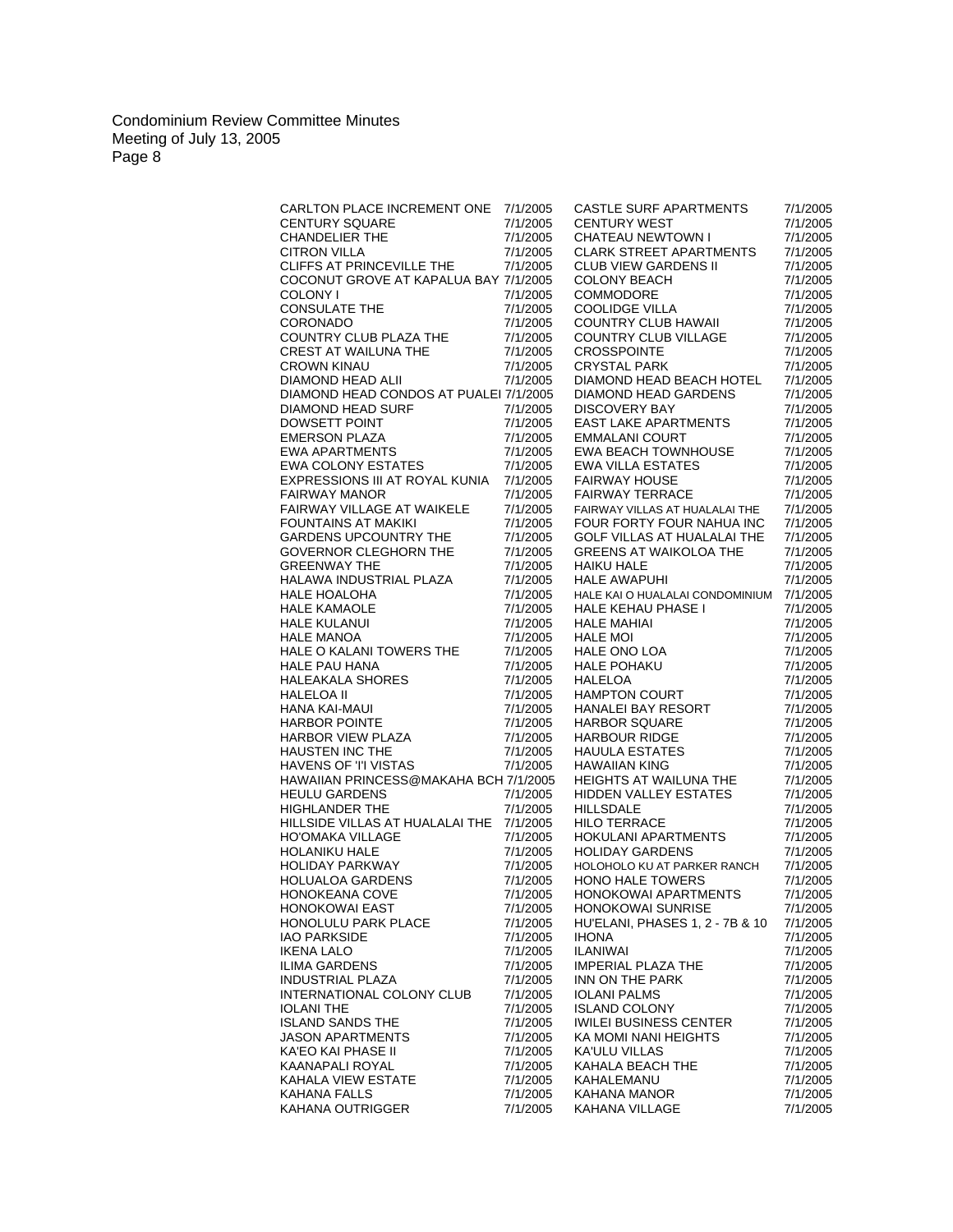| CARLTON PLACE INCREMENT ONE 7/1/2005                                                                                                              |          | <b>CASTLE SURF APARTMENTS</b>                                                                                                                                                                                                         | 7/1/2005 |
|---------------------------------------------------------------------------------------------------------------------------------------------------|----------|---------------------------------------------------------------------------------------------------------------------------------------------------------------------------------------------------------------------------------------|----------|
| <b>CENTURY SQUARE</b>                                                                                                                             | 7/1/2005 | <b>CENTURY WEST</b>                                                                                                                                                                                                                   | 7/1/2005 |
|                                                                                                                                                   |          |                                                                                                                                                                                                                                       |          |
| <b>CHANDELIER THE</b>                                                                                                                             | 7/1/2005 | CHATEAU NEWTOWN I                                                                                                                                                                                                                     | 7/1/2005 |
| <b>CITRON VILLA</b>                                                                                                                               | 7/1/2005 | <b>CLARK STREET APARTMENTS</b>                                                                                                                                                                                                        | 7/1/2005 |
| CLIFFS AT PRINCEVILLE THE                                                                                                                         | 7/1/2005 | CLUB VIEW GARDENS II                                                                                                                                                                                                                  | 7/1/2005 |
| COCONUT GROVE AT KAPALUA BAY 7/1/2005                                                                                                             |          |                                                                                                                                                                                                                                       |          |
|                                                                                                                                                   |          | <b>COLONY BEACH</b>                                                                                                                                                                                                                   | 7/1/2005 |
| COLONY I                                                                                                                                          | 7/1/2005 | COMMODORE                                                                                                                                                                                                                             | 7/1/2005 |
| <b>CONSULATE THE</b>                                                                                                                              | 7/1/2005 | COOLIDGE VILLA                                                                                                                                                                                                                        | 7/1/2005 |
| CORONADO                                                                                                                                          | 7/1/2005 | COUNTRY CLUB HAWAII                                                                                                                                                                                                                   | 7/1/2005 |
|                                                                                                                                                   |          |                                                                                                                                                                                                                                       |          |
| COUNTRY CLUB PLAZA THE                                                                                                                            | 7/1/2005 | COUNTRY CLUB VILLAGE                                                                                                                                                                                                                  | 7/1/2005 |
|                                                                                                                                                   | 7/1/2005 | <b>CROSSPOINTE</b>                                                                                                                                                                                                                    | 7/1/2005 |
|                                                                                                                                                   | 7/1/2005 | <b>CRYSTAL PARK</b>                                                                                                                                                                                                                   | 7/1/2005 |
|                                                                                                                                                   |          |                                                                                                                                                                                                                                       |          |
| CREST AT WAILUNA THE<br>CROWN KINAU<br>DIAMOND HEAD ALII                                                                                          | 7/1/2005 | DIAMOND HEAD BEACH HOTEL                                                                                                                                                                                                              | 7/1/2005 |
| DIAMOND HEAD CONDOS AT PUALEI 7/1/2005                                                                                                            |          | DIAMOND HEAD GARDENS                                                                                                                                                                                                                  | 7/1/2005 |
|                                                                                                                                                   | 7/1/2005 | DISCOVERY BAY                                                                                                                                                                                                                         | 7/1/2005 |
| DIAMOND HEAD SURF<br>DOWSETT POINT<br>EMERSON PLAZA<br>EWA APARTMENTS<br>EWA COLONY ESTATES                                                       |          |                                                                                                                                                                                                                                       |          |
|                                                                                                                                                   | 7/1/2005 | <b>EAST LAKE APARTMENTS</b>                                                                                                                                                                                                           | 7/1/2005 |
|                                                                                                                                                   | 7/1/2005 | <b>EMMALANI COURT</b>                                                                                                                                                                                                                 | 7/1/2005 |
|                                                                                                                                                   | 7/1/2005 | <b>EWA BEACH TOWNHOUSE</b>                                                                                                                                                                                                            | 7/1/2005 |
|                                                                                                                                                   |          |                                                                                                                                                                                                                                       |          |
|                                                                                                                                                   | 7/1/2005 | <b>EWA VILLA ESTATES</b>                                                                                                                                                                                                              | 7/1/2005 |
| EXPRESSIONS III AT ROYAL KUNIA                                                                                                                    | 7/1/2005 | <b>FAIRWAY HOUSE</b>                                                                                                                                                                                                                  | 7/1/2005 |
| <b>FAIRWAY MANOR</b>                                                                                                                              | 7/1/2005 | <b>FAIRWAY TERRACE</b>                                                                                                                                                                                                                | 7/1/2005 |
|                                                                                                                                                   |          |                                                                                                                                                                                                                                       |          |
| FAIRWAY VILLAGE AT WAIKELE                                                                                                                        | 7/1/2005 | FAIRWAY VILLAS AT HUALALAI THE                                                                                                                                                                                                        | 7/1/2005 |
| <b>FOUNTAINS AT MAKIKI</b>                                                                                                                        | 7/1/2005 | FOUR FORTY FOUR NAHUA INC                                                                                                                                                                                                             | 7/1/2005 |
| <b>GARDENS UPCOUNTRY THE</b>                                                                                                                      | 7/1/2005 | GOLF VILLAS AT HUALALAI THE                                                                                                                                                                                                           | 7/1/2005 |
| <b>GOVERNOR CLEGHORN THE</b>                                                                                                                      |          | <b>GREENS AT WAIKOLOA THE</b>                                                                                                                                                                                                         | 7/1/2005 |
|                                                                                                                                                   | 7/1/2005 |                                                                                                                                                                                                                                       |          |
| <b>GREENWAY THE</b>                                                                                                                               | 7/1/2005 | <b>HAIKU HALE</b>                                                                                                                                                                                                                     | 7/1/2005 |
| <b>HALAWA INDUSTRIAL PLAZA</b>                                                                                                                    | 7/1/2005 | <b>HALE AWAPUHI</b>                                                                                                                                                                                                                   | 7/1/2005 |
| <b>HALE HOALOHA</b>                                                                                                                               | 7/1/2005 | HALE KAI O HUALALAI CONDOMINIUM                                                                                                                                                                                                       | 7/1/2005 |
|                                                                                                                                                   |          |                                                                                                                                                                                                                                       |          |
| <b>HALE KAMAOLE</b>                                                                                                                               | 7/1/2005 |                                                                                                                                                                                                                                       | 7/1/2005 |
| <b>HALE KULANUI</b>                                                                                                                               | 7/1/2005 |                                                                                                                                                                                                                                       | 7/1/2005 |
| <b>HALE MANOA</b>                                                                                                                                 | 7/1/2005 |                                                                                                                                                                                                                                       | 7/1/2005 |
|                                                                                                                                                   |          |                                                                                                                                                                                                                                       |          |
| HALE O KALANI TOWERS THE                                                                                                                          | 7/1/2005 |                                                                                                                                                                                                                                       | 7/1/2005 |
| HALE PAU HANA<br>HALEAKALA SHORES<br>HALELOA II<br>HANA KAI-MAUI<br>HARBOR POINTE<br>HARBOR VIEW PLAZA<br>HAUSTEN INC THE<br>HAVENS OF 'I' VISTAS | 7/1/2005 | HALE KAI O HUALALAI CONDOMINIUI<br>HALE KEHAU PHASE I<br>HALE MAHIAI<br>HALE MOI<br>HALE ONO LOA<br>HALE POHAKU<br>HALELOA<br>HAMPTON COURT<br>HANALEI BAY RESORT<br>HARBOR SQUARE<br>HARBOR SQUARE<br>HARBOR SQUARE<br>HARBOR SQUARE | 7/1/2005 |
|                                                                                                                                                   | 7/1/2005 |                                                                                                                                                                                                                                       | 7/1/2005 |
|                                                                                                                                                   |          |                                                                                                                                                                                                                                       |          |
|                                                                                                                                                   | 7/1/2005 |                                                                                                                                                                                                                                       | 7/1/2005 |
|                                                                                                                                                   | 7/1/2005 |                                                                                                                                                                                                                                       | 7/1/2005 |
|                                                                                                                                                   | 7/1/2005 |                                                                                                                                                                                                                                       | 7/1/2005 |
|                                                                                                                                                   |          |                                                                                                                                                                                                                                       |          |
|                                                                                                                                                   | 7/1/2005 |                                                                                                                                                                                                                                       | 7/1/2005 |
|                                                                                                                                                   | 7/1/2005 | <b>HAUULA ESTATES</b>                                                                                                                                                                                                                 | 7/1/2005 |
|                                                                                                                                                   | 7/1/2005 | <b>HAWAIIAN KING</b>                                                                                                                                                                                                                  | 7/1/2005 |
| HAWAIIAN PRINCESS@MAKAHA BCH 7/1/2005                                                                                                             |          | <b>HEIGHTS AT WAILUNA THE</b>                                                                                                                                                                                                         |          |
|                                                                                                                                                   |          |                                                                                                                                                                                                                                       | 7/1/2005 |
| <b>HEULU GARDENS</b>                                                                                                                              | 7/1/2005 | <b>HIDDEN VALLEY ESTATES</b>                                                                                                                                                                                                          | 7/1/2005 |
| <b>HIGHLANDER THE</b>                                                                                                                             | 7/1/2005 | HILLSDALE                                                                                                                                                                                                                             | 7/1/2005 |
| HILLSIDE VILLAS AT HUALALAI THE 7/1/2005                                                                                                          |          | <b>HILO TERRACE</b>                                                                                                                                                                                                                   | 7/1/2005 |
|                                                                                                                                                   |          |                                                                                                                                                                                                                                       |          |
| <b>HO'OMAKA VILLAGE</b>                                                                                                                           | 7/1/2005 | <b>HOKULANI APARTMENTS</b>                                                                                                                                                                                                            | 7/1/2005 |
| <b>HOLANIKU HALE</b>                                                                                                                              | 7/1/2005 | <b>HOLIDAY GARDENS</b>                                                                                                                                                                                                                | 7/1/2005 |
| <b>HOLIDAY PARKWAY</b>                                                                                                                            | 7/1/2005 | HOLOHOLO KU AT PARKER RANCH                                                                                                                                                                                                           | 7/1/2005 |
|                                                                                                                                                   |          |                                                                                                                                                                                                                                       |          |
| HOLUALOA GARDENS                                                                                                                                  | 7/1/2005 | <b>HONO HALE TOWERS</b>                                                                                                                                                                                                               | 7/1/2005 |
| <b>HONOKEANA COVE</b>                                                                                                                             | 7/1/2005 | HONOKOWAI APARTMENTS                                                                                                                                                                                                                  | 7/1/2005 |
| <b>HONOKOWAI EAST</b>                                                                                                                             | 7/1/2005 | HONOKOWAI SUNRISE                                                                                                                                                                                                                     | 7/1/2005 |
| HONOLULU PARK PLACE                                                                                                                               |          |                                                                                                                                                                                                                                       |          |
|                                                                                                                                                   | 7/1/2005 | HU'ELANI, PHASES 1, 2 - 7B & 10                                                                                                                                                                                                       | 7/1/2005 |
| <b>IAO PARKSIDE</b>                                                                                                                               | 7/1/2005 | <b>IHONA</b>                                                                                                                                                                                                                          | 7/1/2005 |
| <b>IKENA LALO</b>                                                                                                                                 | 7/1/2005 | ILANIWAI                                                                                                                                                                                                                              | 7/1/2005 |
| <b>ILIMA GARDENS</b>                                                                                                                              | 7/1/2005 | <b>IMPERIAL PLAZA THE</b>                                                                                                                                                                                                             | 7/1/2005 |
|                                                                                                                                                   |          |                                                                                                                                                                                                                                       |          |
| <b>INDUSTRIAL PLAZA</b>                                                                                                                           | 7/1/2005 | INN ON THE PARK                                                                                                                                                                                                                       | 7/1/2005 |
| INTERNATIONAL COLONY CLUB                                                                                                                         | 7/1/2005 | IOLANI PALMS                                                                                                                                                                                                                          | 7/1/2005 |
| <b>IOLANI THE</b>                                                                                                                                 | 7/1/2005 | <b>ISLAND COLONY</b>                                                                                                                                                                                                                  | 7/1/2005 |
|                                                                                                                                                   |          |                                                                                                                                                                                                                                       |          |
| <b>ISLAND SANDS THE</b>                                                                                                                           | 7/1/2005 | <b>IWILEI BUSINESS CENTER</b>                                                                                                                                                                                                         | 7/1/2005 |
| <b>JASON APARTMENTS</b>                                                                                                                           | 7/1/2005 | KA MOMI NANI HEIGHTS                                                                                                                                                                                                                  | 7/1/2005 |
| KA'EO KAI PHASE II                                                                                                                                | 7/1/2005 | <b>KA'ULU VILLAS</b>                                                                                                                                                                                                                  | 7/1/2005 |
|                                                                                                                                                   |          |                                                                                                                                                                                                                                       |          |
| <b>KAANAPALI ROYAL</b>                                                                                                                            | 7/1/2005 | KAHALA BEACH THE                                                                                                                                                                                                                      | 7/1/2005 |
| KAHALA VIEW ESTATE                                                                                                                                | 7/1/2005 | KAHALEMANU                                                                                                                                                                                                                            | 7/1/2005 |
| <b>KAHANA FALLS</b>                                                                                                                               | 7/1/2005 | KAHANA MANOR                                                                                                                                                                                                                          | 7/1/2005 |
| KAHANA OUTRIGGER                                                                                                                                  | 7/1/2005 | KAHANA VILLAGE                                                                                                                                                                                                                        | 7/1/2005 |
|                                                                                                                                                   |          |                                                                                                                                                                                                                                       |          |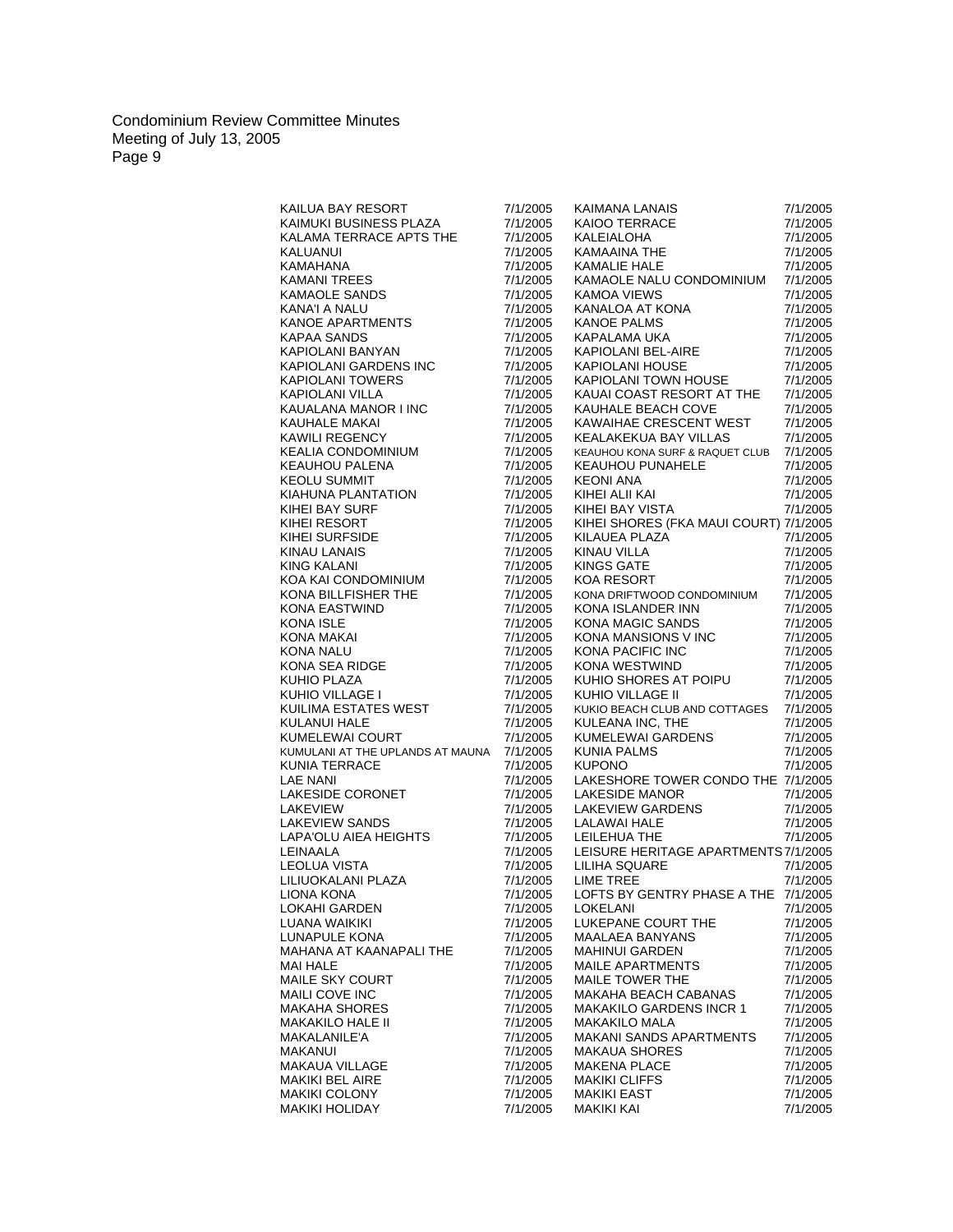| KAIMANA LANAIS<br>KAIOO TERRACE<br>KALEIALOHA<br>KAMAAINA THE<br>KAMALIE HALE<br>7/1/2005<br>7/1/2005<br>KALAMA TERRACE APTS THE<br>7/1/2005<br>7/1/2005<br>7/1/2005<br>7/1/2005<br>KAINDRIBUSINESS PLAZA<br>KALAMA TERRACE APTS THE<br>KALUANUI<br>KAMAHANA<br>KAMAHANA<br>KAMAHANA<br>KAMAD ILE SANDS<br>KANA'I A NALU<br>KANOE APARTMENTS<br>KAPIOLANI BANYAN<br>KAPIOLANI BANYAN<br>KAPIOLANI GARDENS INC<br>KAPIOLANI GARDENS INC<br>KAPIOLANI MANOR<br>7/1/2005<br>7/1/2005<br>KAMAOLE NALU CONDOMINIUM<br>7/1/2005<br>7/1/2005<br>7/1/2005<br><b>KAMOA VIEWS</b><br>7/1/2005<br>KAMOA VIEWS<br>KANALOA AT KONA<br>KANOE PALMS<br>KAPALAMA UKA<br>KAPIOLANI HOUSE<br>KAPIOLANI TOWN HOUSE<br>KAPIOLANI TOWN HOUSE<br>7/1/2005<br>7/1/2005<br>7/1/2005<br>7/1/2005<br>7/1/2005<br>7/1/2005<br>7/1/2005<br>7/1/2005<br>7/1/2005<br>7/1/2005<br>7/1/2005<br>7/1/2005<br>KAUAI COAST RESORT AT THE<br>7/1/2005<br>7/1/2005<br>7/1/2005<br>KAUHALE BEACH COVE<br>7/1/2005<br>KAWAIHAE CRESCENT WEST<br>7/1/2005<br>7/1/2005<br>7/1/2005<br>KEALAKEKUA BAY VILLAS<br>7/1/2005<br>7/1/2005<br>7/1/2005<br>KEAUHOU KONA SURF & RAQUET CLUB<br>7/1/2005<br>KEAUHOU PUNAHELE<br>KEONI ANA<br>KIHEI ALII KAI<br>KIHEI BAY VISTA<br>7/1/2005<br>7/1/2005<br>7/1/2005<br>7/1/2005<br>7/1/2005<br>7/1/2005<br>7/1/2005<br>KIHEI SHORES (FKA MAUI COURT) 7/1/2005<br>7/1/2005<br>$AA$<br>KILAUEA PLAZA<br>7/1/2005<br>7/1/2005<br>7/1/2005<br>KINAU VILLA<br>7/1/2005<br>7/1/2005<br>KINGS GATE<br>7/1/2005<br>7/1/2005<br>KOA RESORT<br>7/1/2005<br>KONA DRIFTWOOD CONDOMINIUM<br>7/1/2005<br>7/1/2005<br>7/1/2005<br>NONA ISLANDER INN<br>KONA ISLANDER INN<br>KONA MAGIC SANDS<br>KONA MANSIONS V INC<br>KONA MESTWIND<br>KUHIO SHORES AT POIPU<br>KUHIO VILLAGE II<br>7/1/2005<br>7/1/2005<br>7/1/2005<br>7/1/2005<br>7/1/2005<br>7/1/2005<br>7/1/2005<br>7/1/2005<br>7/1/2005<br>7/1/2005<br>7/1/2005<br>7/1/2005<br>KUHIO VILLAGE II<br>7/1/2005<br>7/1/2005<br>KUKIO BEACH CLUB AND COTTAGES<br>7/1/2005<br>7/1/2005<br>7/1/2005<br>KULEANA INC, THE<br>KUMELEWAI GARDENS<br>KUNIA PALMS<br>KUPONO<br>7/1/2005<br>7/1/2005<br>KUMULANI AT THE UPLANDS AT MAUNA<br>7/1/2005<br>7/1/2005<br>7/1/2005<br>7/1/2005<br>NUMULATERRACE<br>KUNIA TERRACE<br>LAKESIDE CORONET<br>LAKESIDE CORONET<br>LAKEVIEW<br>LAKEVIEW<br>LAKEVIEW<br>LAKEVIEW<br>LAKEVIEW<br>LEINAALA<br>LEOLUA VISTA<br>LILIUOKALANI PLAZA<br>LIOMA KONA<br>LIOMA KONA<br>LAKESHORE TOWER CONDO THE 7/1/2005<br>7/1/2005<br>7/1/2005<br>7/1/2005<br>LAKESIDE MANOR<br>LAKEVIEW GARDENS<br>LALAWAI HALE<br>LEILEHUA THE<br>7/1/2005<br>7/1/2005<br>7/1/2005<br>7/1/2005<br>7/1/2005<br>7/1/2005<br>LEISURE HERITAGE APARTMENTS 7/1/2005<br>7/1/2005<br>7/1/2005<br>LILIHA SQUARE<br>7/1/2005<br>7/1/2005<br>LIME TREE<br>7/1/2005<br>LOFTS BY GENTRY PHASE A THE 7/1/2005<br>7/1/2005<br><b>LOKAHI GARDEN</b><br>LOKELANI<br>7/1/2005<br>7/1/2005<br>LUANA WAIKIKI<br>LUKEPANE COURT THE<br>7/1/2005<br>7/1/2005<br>LUNAPULE KONA<br><b>MAALAEA BANYANS</b><br>7/1/2005<br>7/1/2005<br>MAHANA AT KAANAPALI THE<br><b>MAHINUI GARDEN</b><br>7/1/2005<br>7/1/2005<br><b>MAI HALE</b><br><b>MAILE APARTMENTS</b><br>7/1/2005<br>7/1/2005<br>MAILE SKY COURT<br><b>MAILE TOWER THE</b><br>7/1/2005<br>7/1/2005<br><b>MAILI COVE INC</b><br><b>MAKAHA BEACH CABANAS</b><br>7/1/2005<br>7/1/2005<br><b>MAKAKILO GARDENS INCR 1</b><br><b>MAKAHA SHORES</b><br>7/1/2005<br>7/1/2005<br><b>MAKAKILO HALE II</b><br>7/1/2005<br><b>MAKAKILO MALA</b><br>7/1/2005<br>MAKALANILE'A<br><b>MAKANI SANDS APARTMENTS</b><br>7/1/2005<br>7/1/2005<br>MAKANUI<br>7/1/2005<br><b>MAKAUA SHORES</b><br>7/1/2005<br><b>MAKAUA VILLAGE</b><br><b>MAKENA PLACE</b><br>7/1/2005<br>7/1/2005<br><b>MAKIKI BEL AIRE</b><br><b>MAKIKI CLIFFS</b><br>7/1/2005<br>7/1/2005<br><b>MAKIKI COLONY</b><br><b>MAKIKI EAST</b><br>7/1/2005<br>7/1/2005<br><b>MAKIKI HOLIDAY</b><br><b>MAKIKI KAI</b><br>7/1/2005<br>7/1/2005 | KAILUA BAY RESORT      | 7/1/2005 | 7/1/2005 |
|-----------------------------------------------------------------------------------------------------------------------------------------------------------------------------------------------------------------------------------------------------------------------------------------------------------------------------------------------------------------------------------------------------------------------------------------------------------------------------------------------------------------------------------------------------------------------------------------------------------------------------------------------------------------------------------------------------------------------------------------------------------------------------------------------------------------------------------------------------------------------------------------------------------------------------------------------------------------------------------------------------------------------------------------------------------------------------------------------------------------------------------------------------------------------------------------------------------------------------------------------------------------------------------------------------------------------------------------------------------------------------------------------------------------------------------------------------------------------------------------------------------------------------------------------------------------------------------------------------------------------------------------------------------------------------------------------------------------------------------------------------------------------------------------------------------------------------------------------------------------------------------------------------------------------------------------------------------------------------------------------------------------------------------------------------------------------------------------------------------------------------------------------------------------------------------------------------------------------------------------------------------------------------------------------------------------------------------------------------------------------------------------------------------------------------------------------------------------------------------------------------------------------------------------------------------------------------------------------------------------------------------------------------------------------------------------------------------------------------------------------------------------------------------------------------------------------------------------------------------------------------------------------------------------------------------------------------------------------------------------------------------------------------------------------------------------------------------------------------------------------------------------------------------------------------------------------------------------------------------------------------------------------------------------------------------------------------------------------------------------------------------------------------------------------------------------------------------------------------------------------------------------------------------------------------------------------------------------------------------------------------------------------------------------------------------------------------------------------------------------------------------------------------------------------------------------------------------------------------------------------------------------------------------------------------------------------------|------------------------|----------|----------|
|                                                                                                                                                                                                                                                                                                                                                                                                                                                                                                                                                                                                                                                                                                                                                                                                                                                                                                                                                                                                                                                                                                                                                                                                                                                                                                                                                                                                                                                                                                                                                                                                                                                                                                                                                                                                                                                                                                                                                                                                                                                                                                                                                                                                                                                                                                                                                                                                                                                                                                                                                                                                                                                                                                                                                                                                                                                                                                                                                                                                                                                                                                                                                                                                                                                                                                                                                                                                                                                                                                                                                                                                                                                                                                                                                                                                                                                                                                                                                     | KAIMUKI BUSINESS PLAZA |          |          |
|                                                                                                                                                                                                                                                                                                                                                                                                                                                                                                                                                                                                                                                                                                                                                                                                                                                                                                                                                                                                                                                                                                                                                                                                                                                                                                                                                                                                                                                                                                                                                                                                                                                                                                                                                                                                                                                                                                                                                                                                                                                                                                                                                                                                                                                                                                                                                                                                                                                                                                                                                                                                                                                                                                                                                                                                                                                                                                                                                                                                                                                                                                                                                                                                                                                                                                                                                                                                                                                                                                                                                                                                                                                                                                                                                                                                                                                                                                                                                     |                        |          |          |
|                                                                                                                                                                                                                                                                                                                                                                                                                                                                                                                                                                                                                                                                                                                                                                                                                                                                                                                                                                                                                                                                                                                                                                                                                                                                                                                                                                                                                                                                                                                                                                                                                                                                                                                                                                                                                                                                                                                                                                                                                                                                                                                                                                                                                                                                                                                                                                                                                                                                                                                                                                                                                                                                                                                                                                                                                                                                                                                                                                                                                                                                                                                                                                                                                                                                                                                                                                                                                                                                                                                                                                                                                                                                                                                                                                                                                                                                                                                                                     |                        |          |          |
|                                                                                                                                                                                                                                                                                                                                                                                                                                                                                                                                                                                                                                                                                                                                                                                                                                                                                                                                                                                                                                                                                                                                                                                                                                                                                                                                                                                                                                                                                                                                                                                                                                                                                                                                                                                                                                                                                                                                                                                                                                                                                                                                                                                                                                                                                                                                                                                                                                                                                                                                                                                                                                                                                                                                                                                                                                                                                                                                                                                                                                                                                                                                                                                                                                                                                                                                                                                                                                                                                                                                                                                                                                                                                                                                                                                                                                                                                                                                                     |                        |          |          |
|                                                                                                                                                                                                                                                                                                                                                                                                                                                                                                                                                                                                                                                                                                                                                                                                                                                                                                                                                                                                                                                                                                                                                                                                                                                                                                                                                                                                                                                                                                                                                                                                                                                                                                                                                                                                                                                                                                                                                                                                                                                                                                                                                                                                                                                                                                                                                                                                                                                                                                                                                                                                                                                                                                                                                                                                                                                                                                                                                                                                                                                                                                                                                                                                                                                                                                                                                                                                                                                                                                                                                                                                                                                                                                                                                                                                                                                                                                                                                     |                        |          |          |
|                                                                                                                                                                                                                                                                                                                                                                                                                                                                                                                                                                                                                                                                                                                                                                                                                                                                                                                                                                                                                                                                                                                                                                                                                                                                                                                                                                                                                                                                                                                                                                                                                                                                                                                                                                                                                                                                                                                                                                                                                                                                                                                                                                                                                                                                                                                                                                                                                                                                                                                                                                                                                                                                                                                                                                                                                                                                                                                                                                                                                                                                                                                                                                                                                                                                                                                                                                                                                                                                                                                                                                                                                                                                                                                                                                                                                                                                                                                                                     |                        |          |          |
|                                                                                                                                                                                                                                                                                                                                                                                                                                                                                                                                                                                                                                                                                                                                                                                                                                                                                                                                                                                                                                                                                                                                                                                                                                                                                                                                                                                                                                                                                                                                                                                                                                                                                                                                                                                                                                                                                                                                                                                                                                                                                                                                                                                                                                                                                                                                                                                                                                                                                                                                                                                                                                                                                                                                                                                                                                                                                                                                                                                                                                                                                                                                                                                                                                                                                                                                                                                                                                                                                                                                                                                                                                                                                                                                                                                                                                                                                                                                                     |                        |          |          |
|                                                                                                                                                                                                                                                                                                                                                                                                                                                                                                                                                                                                                                                                                                                                                                                                                                                                                                                                                                                                                                                                                                                                                                                                                                                                                                                                                                                                                                                                                                                                                                                                                                                                                                                                                                                                                                                                                                                                                                                                                                                                                                                                                                                                                                                                                                                                                                                                                                                                                                                                                                                                                                                                                                                                                                                                                                                                                                                                                                                                                                                                                                                                                                                                                                                                                                                                                                                                                                                                                                                                                                                                                                                                                                                                                                                                                                                                                                                                                     |                        |          |          |
|                                                                                                                                                                                                                                                                                                                                                                                                                                                                                                                                                                                                                                                                                                                                                                                                                                                                                                                                                                                                                                                                                                                                                                                                                                                                                                                                                                                                                                                                                                                                                                                                                                                                                                                                                                                                                                                                                                                                                                                                                                                                                                                                                                                                                                                                                                                                                                                                                                                                                                                                                                                                                                                                                                                                                                                                                                                                                                                                                                                                                                                                                                                                                                                                                                                                                                                                                                                                                                                                                                                                                                                                                                                                                                                                                                                                                                                                                                                                                     |                        |          |          |
|                                                                                                                                                                                                                                                                                                                                                                                                                                                                                                                                                                                                                                                                                                                                                                                                                                                                                                                                                                                                                                                                                                                                                                                                                                                                                                                                                                                                                                                                                                                                                                                                                                                                                                                                                                                                                                                                                                                                                                                                                                                                                                                                                                                                                                                                                                                                                                                                                                                                                                                                                                                                                                                                                                                                                                                                                                                                                                                                                                                                                                                                                                                                                                                                                                                                                                                                                                                                                                                                                                                                                                                                                                                                                                                                                                                                                                                                                                                                                     |                        |          |          |
|                                                                                                                                                                                                                                                                                                                                                                                                                                                                                                                                                                                                                                                                                                                                                                                                                                                                                                                                                                                                                                                                                                                                                                                                                                                                                                                                                                                                                                                                                                                                                                                                                                                                                                                                                                                                                                                                                                                                                                                                                                                                                                                                                                                                                                                                                                                                                                                                                                                                                                                                                                                                                                                                                                                                                                                                                                                                                                                                                                                                                                                                                                                                                                                                                                                                                                                                                                                                                                                                                                                                                                                                                                                                                                                                                                                                                                                                                                                                                     |                        |          |          |
|                                                                                                                                                                                                                                                                                                                                                                                                                                                                                                                                                                                                                                                                                                                                                                                                                                                                                                                                                                                                                                                                                                                                                                                                                                                                                                                                                                                                                                                                                                                                                                                                                                                                                                                                                                                                                                                                                                                                                                                                                                                                                                                                                                                                                                                                                                                                                                                                                                                                                                                                                                                                                                                                                                                                                                                                                                                                                                                                                                                                                                                                                                                                                                                                                                                                                                                                                                                                                                                                                                                                                                                                                                                                                                                                                                                                                                                                                                                                                     |                        |          |          |
|                                                                                                                                                                                                                                                                                                                                                                                                                                                                                                                                                                                                                                                                                                                                                                                                                                                                                                                                                                                                                                                                                                                                                                                                                                                                                                                                                                                                                                                                                                                                                                                                                                                                                                                                                                                                                                                                                                                                                                                                                                                                                                                                                                                                                                                                                                                                                                                                                                                                                                                                                                                                                                                                                                                                                                                                                                                                                                                                                                                                                                                                                                                                                                                                                                                                                                                                                                                                                                                                                                                                                                                                                                                                                                                                                                                                                                                                                                                                                     |                        |          |          |
|                                                                                                                                                                                                                                                                                                                                                                                                                                                                                                                                                                                                                                                                                                                                                                                                                                                                                                                                                                                                                                                                                                                                                                                                                                                                                                                                                                                                                                                                                                                                                                                                                                                                                                                                                                                                                                                                                                                                                                                                                                                                                                                                                                                                                                                                                                                                                                                                                                                                                                                                                                                                                                                                                                                                                                                                                                                                                                                                                                                                                                                                                                                                                                                                                                                                                                                                                                                                                                                                                                                                                                                                                                                                                                                                                                                                                                                                                                                                                     |                        |          |          |
|                                                                                                                                                                                                                                                                                                                                                                                                                                                                                                                                                                                                                                                                                                                                                                                                                                                                                                                                                                                                                                                                                                                                                                                                                                                                                                                                                                                                                                                                                                                                                                                                                                                                                                                                                                                                                                                                                                                                                                                                                                                                                                                                                                                                                                                                                                                                                                                                                                                                                                                                                                                                                                                                                                                                                                                                                                                                                                                                                                                                                                                                                                                                                                                                                                                                                                                                                                                                                                                                                                                                                                                                                                                                                                                                                                                                                                                                                                                                                     |                        |          |          |
|                                                                                                                                                                                                                                                                                                                                                                                                                                                                                                                                                                                                                                                                                                                                                                                                                                                                                                                                                                                                                                                                                                                                                                                                                                                                                                                                                                                                                                                                                                                                                                                                                                                                                                                                                                                                                                                                                                                                                                                                                                                                                                                                                                                                                                                                                                                                                                                                                                                                                                                                                                                                                                                                                                                                                                                                                                                                                                                                                                                                                                                                                                                                                                                                                                                                                                                                                                                                                                                                                                                                                                                                                                                                                                                                                                                                                                                                                                                                                     |                        |          |          |
|                                                                                                                                                                                                                                                                                                                                                                                                                                                                                                                                                                                                                                                                                                                                                                                                                                                                                                                                                                                                                                                                                                                                                                                                                                                                                                                                                                                                                                                                                                                                                                                                                                                                                                                                                                                                                                                                                                                                                                                                                                                                                                                                                                                                                                                                                                                                                                                                                                                                                                                                                                                                                                                                                                                                                                                                                                                                                                                                                                                                                                                                                                                                                                                                                                                                                                                                                                                                                                                                                                                                                                                                                                                                                                                                                                                                                                                                                                                                                     |                        |          |          |
|                                                                                                                                                                                                                                                                                                                                                                                                                                                                                                                                                                                                                                                                                                                                                                                                                                                                                                                                                                                                                                                                                                                                                                                                                                                                                                                                                                                                                                                                                                                                                                                                                                                                                                                                                                                                                                                                                                                                                                                                                                                                                                                                                                                                                                                                                                                                                                                                                                                                                                                                                                                                                                                                                                                                                                                                                                                                                                                                                                                                                                                                                                                                                                                                                                                                                                                                                                                                                                                                                                                                                                                                                                                                                                                                                                                                                                                                                                                                                     |                        |          |          |
|                                                                                                                                                                                                                                                                                                                                                                                                                                                                                                                                                                                                                                                                                                                                                                                                                                                                                                                                                                                                                                                                                                                                                                                                                                                                                                                                                                                                                                                                                                                                                                                                                                                                                                                                                                                                                                                                                                                                                                                                                                                                                                                                                                                                                                                                                                                                                                                                                                                                                                                                                                                                                                                                                                                                                                                                                                                                                                                                                                                                                                                                                                                                                                                                                                                                                                                                                                                                                                                                                                                                                                                                                                                                                                                                                                                                                                                                                                                                                     |                        |          |          |
|                                                                                                                                                                                                                                                                                                                                                                                                                                                                                                                                                                                                                                                                                                                                                                                                                                                                                                                                                                                                                                                                                                                                                                                                                                                                                                                                                                                                                                                                                                                                                                                                                                                                                                                                                                                                                                                                                                                                                                                                                                                                                                                                                                                                                                                                                                                                                                                                                                                                                                                                                                                                                                                                                                                                                                                                                                                                                                                                                                                                                                                                                                                                                                                                                                                                                                                                                                                                                                                                                                                                                                                                                                                                                                                                                                                                                                                                                                                                                     |                        |          |          |
|                                                                                                                                                                                                                                                                                                                                                                                                                                                                                                                                                                                                                                                                                                                                                                                                                                                                                                                                                                                                                                                                                                                                                                                                                                                                                                                                                                                                                                                                                                                                                                                                                                                                                                                                                                                                                                                                                                                                                                                                                                                                                                                                                                                                                                                                                                                                                                                                                                                                                                                                                                                                                                                                                                                                                                                                                                                                                                                                                                                                                                                                                                                                                                                                                                                                                                                                                                                                                                                                                                                                                                                                                                                                                                                                                                                                                                                                                                                                                     |                        |          |          |
|                                                                                                                                                                                                                                                                                                                                                                                                                                                                                                                                                                                                                                                                                                                                                                                                                                                                                                                                                                                                                                                                                                                                                                                                                                                                                                                                                                                                                                                                                                                                                                                                                                                                                                                                                                                                                                                                                                                                                                                                                                                                                                                                                                                                                                                                                                                                                                                                                                                                                                                                                                                                                                                                                                                                                                                                                                                                                                                                                                                                                                                                                                                                                                                                                                                                                                                                                                                                                                                                                                                                                                                                                                                                                                                                                                                                                                                                                                                                                     |                        |          |          |
|                                                                                                                                                                                                                                                                                                                                                                                                                                                                                                                                                                                                                                                                                                                                                                                                                                                                                                                                                                                                                                                                                                                                                                                                                                                                                                                                                                                                                                                                                                                                                                                                                                                                                                                                                                                                                                                                                                                                                                                                                                                                                                                                                                                                                                                                                                                                                                                                                                                                                                                                                                                                                                                                                                                                                                                                                                                                                                                                                                                                                                                                                                                                                                                                                                                                                                                                                                                                                                                                                                                                                                                                                                                                                                                                                                                                                                                                                                                                                     |                        |          |          |
|                                                                                                                                                                                                                                                                                                                                                                                                                                                                                                                                                                                                                                                                                                                                                                                                                                                                                                                                                                                                                                                                                                                                                                                                                                                                                                                                                                                                                                                                                                                                                                                                                                                                                                                                                                                                                                                                                                                                                                                                                                                                                                                                                                                                                                                                                                                                                                                                                                                                                                                                                                                                                                                                                                                                                                                                                                                                                                                                                                                                                                                                                                                                                                                                                                                                                                                                                                                                                                                                                                                                                                                                                                                                                                                                                                                                                                                                                                                                                     |                        |          |          |
|                                                                                                                                                                                                                                                                                                                                                                                                                                                                                                                                                                                                                                                                                                                                                                                                                                                                                                                                                                                                                                                                                                                                                                                                                                                                                                                                                                                                                                                                                                                                                                                                                                                                                                                                                                                                                                                                                                                                                                                                                                                                                                                                                                                                                                                                                                                                                                                                                                                                                                                                                                                                                                                                                                                                                                                                                                                                                                                                                                                                                                                                                                                                                                                                                                                                                                                                                                                                                                                                                                                                                                                                                                                                                                                                                                                                                                                                                                                                                     |                        |          |          |
|                                                                                                                                                                                                                                                                                                                                                                                                                                                                                                                                                                                                                                                                                                                                                                                                                                                                                                                                                                                                                                                                                                                                                                                                                                                                                                                                                                                                                                                                                                                                                                                                                                                                                                                                                                                                                                                                                                                                                                                                                                                                                                                                                                                                                                                                                                                                                                                                                                                                                                                                                                                                                                                                                                                                                                                                                                                                                                                                                                                                                                                                                                                                                                                                                                                                                                                                                                                                                                                                                                                                                                                                                                                                                                                                                                                                                                                                                                                                                     |                        |          |          |
|                                                                                                                                                                                                                                                                                                                                                                                                                                                                                                                                                                                                                                                                                                                                                                                                                                                                                                                                                                                                                                                                                                                                                                                                                                                                                                                                                                                                                                                                                                                                                                                                                                                                                                                                                                                                                                                                                                                                                                                                                                                                                                                                                                                                                                                                                                                                                                                                                                                                                                                                                                                                                                                                                                                                                                                                                                                                                                                                                                                                                                                                                                                                                                                                                                                                                                                                                                                                                                                                                                                                                                                                                                                                                                                                                                                                                                                                                                                                                     |                        |          |          |
|                                                                                                                                                                                                                                                                                                                                                                                                                                                                                                                                                                                                                                                                                                                                                                                                                                                                                                                                                                                                                                                                                                                                                                                                                                                                                                                                                                                                                                                                                                                                                                                                                                                                                                                                                                                                                                                                                                                                                                                                                                                                                                                                                                                                                                                                                                                                                                                                                                                                                                                                                                                                                                                                                                                                                                                                                                                                                                                                                                                                                                                                                                                                                                                                                                                                                                                                                                                                                                                                                                                                                                                                                                                                                                                                                                                                                                                                                                                                                     |                        |          |          |
|                                                                                                                                                                                                                                                                                                                                                                                                                                                                                                                                                                                                                                                                                                                                                                                                                                                                                                                                                                                                                                                                                                                                                                                                                                                                                                                                                                                                                                                                                                                                                                                                                                                                                                                                                                                                                                                                                                                                                                                                                                                                                                                                                                                                                                                                                                                                                                                                                                                                                                                                                                                                                                                                                                                                                                                                                                                                                                                                                                                                                                                                                                                                                                                                                                                                                                                                                                                                                                                                                                                                                                                                                                                                                                                                                                                                                                                                                                                                                     |                        |          |          |
|                                                                                                                                                                                                                                                                                                                                                                                                                                                                                                                                                                                                                                                                                                                                                                                                                                                                                                                                                                                                                                                                                                                                                                                                                                                                                                                                                                                                                                                                                                                                                                                                                                                                                                                                                                                                                                                                                                                                                                                                                                                                                                                                                                                                                                                                                                                                                                                                                                                                                                                                                                                                                                                                                                                                                                                                                                                                                                                                                                                                                                                                                                                                                                                                                                                                                                                                                                                                                                                                                                                                                                                                                                                                                                                                                                                                                                                                                                                                                     |                        |          |          |
|                                                                                                                                                                                                                                                                                                                                                                                                                                                                                                                                                                                                                                                                                                                                                                                                                                                                                                                                                                                                                                                                                                                                                                                                                                                                                                                                                                                                                                                                                                                                                                                                                                                                                                                                                                                                                                                                                                                                                                                                                                                                                                                                                                                                                                                                                                                                                                                                                                                                                                                                                                                                                                                                                                                                                                                                                                                                                                                                                                                                                                                                                                                                                                                                                                                                                                                                                                                                                                                                                                                                                                                                                                                                                                                                                                                                                                                                                                                                                     |                        |          |          |
|                                                                                                                                                                                                                                                                                                                                                                                                                                                                                                                                                                                                                                                                                                                                                                                                                                                                                                                                                                                                                                                                                                                                                                                                                                                                                                                                                                                                                                                                                                                                                                                                                                                                                                                                                                                                                                                                                                                                                                                                                                                                                                                                                                                                                                                                                                                                                                                                                                                                                                                                                                                                                                                                                                                                                                                                                                                                                                                                                                                                                                                                                                                                                                                                                                                                                                                                                                                                                                                                                                                                                                                                                                                                                                                                                                                                                                                                                                                                                     |                        |          |          |
|                                                                                                                                                                                                                                                                                                                                                                                                                                                                                                                                                                                                                                                                                                                                                                                                                                                                                                                                                                                                                                                                                                                                                                                                                                                                                                                                                                                                                                                                                                                                                                                                                                                                                                                                                                                                                                                                                                                                                                                                                                                                                                                                                                                                                                                                                                                                                                                                                                                                                                                                                                                                                                                                                                                                                                                                                                                                                                                                                                                                                                                                                                                                                                                                                                                                                                                                                                                                                                                                                                                                                                                                                                                                                                                                                                                                                                                                                                                                                     |                        |          |          |
|                                                                                                                                                                                                                                                                                                                                                                                                                                                                                                                                                                                                                                                                                                                                                                                                                                                                                                                                                                                                                                                                                                                                                                                                                                                                                                                                                                                                                                                                                                                                                                                                                                                                                                                                                                                                                                                                                                                                                                                                                                                                                                                                                                                                                                                                                                                                                                                                                                                                                                                                                                                                                                                                                                                                                                                                                                                                                                                                                                                                                                                                                                                                                                                                                                                                                                                                                                                                                                                                                                                                                                                                                                                                                                                                                                                                                                                                                                                                                     |                        |          |          |
|                                                                                                                                                                                                                                                                                                                                                                                                                                                                                                                                                                                                                                                                                                                                                                                                                                                                                                                                                                                                                                                                                                                                                                                                                                                                                                                                                                                                                                                                                                                                                                                                                                                                                                                                                                                                                                                                                                                                                                                                                                                                                                                                                                                                                                                                                                                                                                                                                                                                                                                                                                                                                                                                                                                                                                                                                                                                                                                                                                                                                                                                                                                                                                                                                                                                                                                                                                                                                                                                                                                                                                                                                                                                                                                                                                                                                                                                                                                                                     |                        |          |          |
|                                                                                                                                                                                                                                                                                                                                                                                                                                                                                                                                                                                                                                                                                                                                                                                                                                                                                                                                                                                                                                                                                                                                                                                                                                                                                                                                                                                                                                                                                                                                                                                                                                                                                                                                                                                                                                                                                                                                                                                                                                                                                                                                                                                                                                                                                                                                                                                                                                                                                                                                                                                                                                                                                                                                                                                                                                                                                                                                                                                                                                                                                                                                                                                                                                                                                                                                                                                                                                                                                                                                                                                                                                                                                                                                                                                                                                                                                                                                                     |                        |          |          |
|                                                                                                                                                                                                                                                                                                                                                                                                                                                                                                                                                                                                                                                                                                                                                                                                                                                                                                                                                                                                                                                                                                                                                                                                                                                                                                                                                                                                                                                                                                                                                                                                                                                                                                                                                                                                                                                                                                                                                                                                                                                                                                                                                                                                                                                                                                                                                                                                                                                                                                                                                                                                                                                                                                                                                                                                                                                                                                                                                                                                                                                                                                                                                                                                                                                                                                                                                                                                                                                                                                                                                                                                                                                                                                                                                                                                                                                                                                                                                     |                        |          |          |
|                                                                                                                                                                                                                                                                                                                                                                                                                                                                                                                                                                                                                                                                                                                                                                                                                                                                                                                                                                                                                                                                                                                                                                                                                                                                                                                                                                                                                                                                                                                                                                                                                                                                                                                                                                                                                                                                                                                                                                                                                                                                                                                                                                                                                                                                                                                                                                                                                                                                                                                                                                                                                                                                                                                                                                                                                                                                                                                                                                                                                                                                                                                                                                                                                                                                                                                                                                                                                                                                                                                                                                                                                                                                                                                                                                                                                                                                                                                                                     |                        |          |          |
|                                                                                                                                                                                                                                                                                                                                                                                                                                                                                                                                                                                                                                                                                                                                                                                                                                                                                                                                                                                                                                                                                                                                                                                                                                                                                                                                                                                                                                                                                                                                                                                                                                                                                                                                                                                                                                                                                                                                                                                                                                                                                                                                                                                                                                                                                                                                                                                                                                                                                                                                                                                                                                                                                                                                                                                                                                                                                                                                                                                                                                                                                                                                                                                                                                                                                                                                                                                                                                                                                                                                                                                                                                                                                                                                                                                                                                                                                                                                                     |                        |          |          |
|                                                                                                                                                                                                                                                                                                                                                                                                                                                                                                                                                                                                                                                                                                                                                                                                                                                                                                                                                                                                                                                                                                                                                                                                                                                                                                                                                                                                                                                                                                                                                                                                                                                                                                                                                                                                                                                                                                                                                                                                                                                                                                                                                                                                                                                                                                                                                                                                                                                                                                                                                                                                                                                                                                                                                                                                                                                                                                                                                                                                                                                                                                                                                                                                                                                                                                                                                                                                                                                                                                                                                                                                                                                                                                                                                                                                                                                                                                                                                     |                        |          |          |
|                                                                                                                                                                                                                                                                                                                                                                                                                                                                                                                                                                                                                                                                                                                                                                                                                                                                                                                                                                                                                                                                                                                                                                                                                                                                                                                                                                                                                                                                                                                                                                                                                                                                                                                                                                                                                                                                                                                                                                                                                                                                                                                                                                                                                                                                                                                                                                                                                                                                                                                                                                                                                                                                                                                                                                                                                                                                                                                                                                                                                                                                                                                                                                                                                                                                                                                                                                                                                                                                                                                                                                                                                                                                                                                                                                                                                                                                                                                                                     |                        |          |          |
|                                                                                                                                                                                                                                                                                                                                                                                                                                                                                                                                                                                                                                                                                                                                                                                                                                                                                                                                                                                                                                                                                                                                                                                                                                                                                                                                                                                                                                                                                                                                                                                                                                                                                                                                                                                                                                                                                                                                                                                                                                                                                                                                                                                                                                                                                                                                                                                                                                                                                                                                                                                                                                                                                                                                                                                                                                                                                                                                                                                                                                                                                                                                                                                                                                                                                                                                                                                                                                                                                                                                                                                                                                                                                                                                                                                                                                                                                                                                                     |                        |          |          |
|                                                                                                                                                                                                                                                                                                                                                                                                                                                                                                                                                                                                                                                                                                                                                                                                                                                                                                                                                                                                                                                                                                                                                                                                                                                                                                                                                                                                                                                                                                                                                                                                                                                                                                                                                                                                                                                                                                                                                                                                                                                                                                                                                                                                                                                                                                                                                                                                                                                                                                                                                                                                                                                                                                                                                                                                                                                                                                                                                                                                                                                                                                                                                                                                                                                                                                                                                                                                                                                                                                                                                                                                                                                                                                                                                                                                                                                                                                                                                     |                        |          |          |
|                                                                                                                                                                                                                                                                                                                                                                                                                                                                                                                                                                                                                                                                                                                                                                                                                                                                                                                                                                                                                                                                                                                                                                                                                                                                                                                                                                                                                                                                                                                                                                                                                                                                                                                                                                                                                                                                                                                                                                                                                                                                                                                                                                                                                                                                                                                                                                                                                                                                                                                                                                                                                                                                                                                                                                                                                                                                                                                                                                                                                                                                                                                                                                                                                                                                                                                                                                                                                                                                                                                                                                                                                                                                                                                                                                                                                                                                                                                                                     |                        |          |          |
|                                                                                                                                                                                                                                                                                                                                                                                                                                                                                                                                                                                                                                                                                                                                                                                                                                                                                                                                                                                                                                                                                                                                                                                                                                                                                                                                                                                                                                                                                                                                                                                                                                                                                                                                                                                                                                                                                                                                                                                                                                                                                                                                                                                                                                                                                                                                                                                                                                                                                                                                                                                                                                                                                                                                                                                                                                                                                                                                                                                                                                                                                                                                                                                                                                                                                                                                                                                                                                                                                                                                                                                                                                                                                                                                                                                                                                                                                                                                                     |                        |          |          |
|                                                                                                                                                                                                                                                                                                                                                                                                                                                                                                                                                                                                                                                                                                                                                                                                                                                                                                                                                                                                                                                                                                                                                                                                                                                                                                                                                                                                                                                                                                                                                                                                                                                                                                                                                                                                                                                                                                                                                                                                                                                                                                                                                                                                                                                                                                                                                                                                                                                                                                                                                                                                                                                                                                                                                                                                                                                                                                                                                                                                                                                                                                                                                                                                                                                                                                                                                                                                                                                                                                                                                                                                                                                                                                                                                                                                                                                                                                                                                     |                        |          |          |
|                                                                                                                                                                                                                                                                                                                                                                                                                                                                                                                                                                                                                                                                                                                                                                                                                                                                                                                                                                                                                                                                                                                                                                                                                                                                                                                                                                                                                                                                                                                                                                                                                                                                                                                                                                                                                                                                                                                                                                                                                                                                                                                                                                                                                                                                                                                                                                                                                                                                                                                                                                                                                                                                                                                                                                                                                                                                                                                                                                                                                                                                                                                                                                                                                                                                                                                                                                                                                                                                                                                                                                                                                                                                                                                                                                                                                                                                                                                                                     |                        |          |          |
|                                                                                                                                                                                                                                                                                                                                                                                                                                                                                                                                                                                                                                                                                                                                                                                                                                                                                                                                                                                                                                                                                                                                                                                                                                                                                                                                                                                                                                                                                                                                                                                                                                                                                                                                                                                                                                                                                                                                                                                                                                                                                                                                                                                                                                                                                                                                                                                                                                                                                                                                                                                                                                                                                                                                                                                                                                                                                                                                                                                                                                                                                                                                                                                                                                                                                                                                                                                                                                                                                                                                                                                                                                                                                                                                                                                                                                                                                                                                                     |                        |          |          |
|                                                                                                                                                                                                                                                                                                                                                                                                                                                                                                                                                                                                                                                                                                                                                                                                                                                                                                                                                                                                                                                                                                                                                                                                                                                                                                                                                                                                                                                                                                                                                                                                                                                                                                                                                                                                                                                                                                                                                                                                                                                                                                                                                                                                                                                                                                                                                                                                                                                                                                                                                                                                                                                                                                                                                                                                                                                                                                                                                                                                                                                                                                                                                                                                                                                                                                                                                                                                                                                                                                                                                                                                                                                                                                                                                                                                                                                                                                                                                     |                        |          |          |
|                                                                                                                                                                                                                                                                                                                                                                                                                                                                                                                                                                                                                                                                                                                                                                                                                                                                                                                                                                                                                                                                                                                                                                                                                                                                                                                                                                                                                                                                                                                                                                                                                                                                                                                                                                                                                                                                                                                                                                                                                                                                                                                                                                                                                                                                                                                                                                                                                                                                                                                                                                                                                                                                                                                                                                                                                                                                                                                                                                                                                                                                                                                                                                                                                                                                                                                                                                                                                                                                                                                                                                                                                                                                                                                                                                                                                                                                                                                                                     |                        |          |          |
|                                                                                                                                                                                                                                                                                                                                                                                                                                                                                                                                                                                                                                                                                                                                                                                                                                                                                                                                                                                                                                                                                                                                                                                                                                                                                                                                                                                                                                                                                                                                                                                                                                                                                                                                                                                                                                                                                                                                                                                                                                                                                                                                                                                                                                                                                                                                                                                                                                                                                                                                                                                                                                                                                                                                                                                                                                                                                                                                                                                                                                                                                                                                                                                                                                                                                                                                                                                                                                                                                                                                                                                                                                                                                                                                                                                                                                                                                                                                                     |                        |          |          |
|                                                                                                                                                                                                                                                                                                                                                                                                                                                                                                                                                                                                                                                                                                                                                                                                                                                                                                                                                                                                                                                                                                                                                                                                                                                                                                                                                                                                                                                                                                                                                                                                                                                                                                                                                                                                                                                                                                                                                                                                                                                                                                                                                                                                                                                                                                                                                                                                                                                                                                                                                                                                                                                                                                                                                                                                                                                                                                                                                                                                                                                                                                                                                                                                                                                                                                                                                                                                                                                                                                                                                                                                                                                                                                                                                                                                                                                                                                                                                     |                        |          |          |
|                                                                                                                                                                                                                                                                                                                                                                                                                                                                                                                                                                                                                                                                                                                                                                                                                                                                                                                                                                                                                                                                                                                                                                                                                                                                                                                                                                                                                                                                                                                                                                                                                                                                                                                                                                                                                                                                                                                                                                                                                                                                                                                                                                                                                                                                                                                                                                                                                                                                                                                                                                                                                                                                                                                                                                                                                                                                                                                                                                                                                                                                                                                                                                                                                                                                                                                                                                                                                                                                                                                                                                                                                                                                                                                                                                                                                                                                                                                                                     |                        |          |          |
|                                                                                                                                                                                                                                                                                                                                                                                                                                                                                                                                                                                                                                                                                                                                                                                                                                                                                                                                                                                                                                                                                                                                                                                                                                                                                                                                                                                                                                                                                                                                                                                                                                                                                                                                                                                                                                                                                                                                                                                                                                                                                                                                                                                                                                                                                                                                                                                                                                                                                                                                                                                                                                                                                                                                                                                                                                                                                                                                                                                                                                                                                                                                                                                                                                                                                                                                                                                                                                                                                                                                                                                                                                                                                                                                                                                                                                                                                                                                                     |                        |          |          |
|                                                                                                                                                                                                                                                                                                                                                                                                                                                                                                                                                                                                                                                                                                                                                                                                                                                                                                                                                                                                                                                                                                                                                                                                                                                                                                                                                                                                                                                                                                                                                                                                                                                                                                                                                                                                                                                                                                                                                                                                                                                                                                                                                                                                                                                                                                                                                                                                                                                                                                                                                                                                                                                                                                                                                                                                                                                                                                                                                                                                                                                                                                                                                                                                                                                                                                                                                                                                                                                                                                                                                                                                                                                                                                                                                                                                                                                                                                                                                     |                        |          |          |
|                                                                                                                                                                                                                                                                                                                                                                                                                                                                                                                                                                                                                                                                                                                                                                                                                                                                                                                                                                                                                                                                                                                                                                                                                                                                                                                                                                                                                                                                                                                                                                                                                                                                                                                                                                                                                                                                                                                                                                                                                                                                                                                                                                                                                                                                                                                                                                                                                                                                                                                                                                                                                                                                                                                                                                                                                                                                                                                                                                                                                                                                                                                                                                                                                                                                                                                                                                                                                                                                                                                                                                                                                                                                                                                                                                                                                                                                                                                                                     |                        |          |          |
|                                                                                                                                                                                                                                                                                                                                                                                                                                                                                                                                                                                                                                                                                                                                                                                                                                                                                                                                                                                                                                                                                                                                                                                                                                                                                                                                                                                                                                                                                                                                                                                                                                                                                                                                                                                                                                                                                                                                                                                                                                                                                                                                                                                                                                                                                                                                                                                                                                                                                                                                                                                                                                                                                                                                                                                                                                                                                                                                                                                                                                                                                                                                                                                                                                                                                                                                                                                                                                                                                                                                                                                                                                                                                                                                                                                                                                                                                                                                                     |                        |          |          |
|                                                                                                                                                                                                                                                                                                                                                                                                                                                                                                                                                                                                                                                                                                                                                                                                                                                                                                                                                                                                                                                                                                                                                                                                                                                                                                                                                                                                                                                                                                                                                                                                                                                                                                                                                                                                                                                                                                                                                                                                                                                                                                                                                                                                                                                                                                                                                                                                                                                                                                                                                                                                                                                                                                                                                                                                                                                                                                                                                                                                                                                                                                                                                                                                                                                                                                                                                                                                                                                                                                                                                                                                                                                                                                                                                                                                                                                                                                                                                     |                        |          |          |
|                                                                                                                                                                                                                                                                                                                                                                                                                                                                                                                                                                                                                                                                                                                                                                                                                                                                                                                                                                                                                                                                                                                                                                                                                                                                                                                                                                                                                                                                                                                                                                                                                                                                                                                                                                                                                                                                                                                                                                                                                                                                                                                                                                                                                                                                                                                                                                                                                                                                                                                                                                                                                                                                                                                                                                                                                                                                                                                                                                                                                                                                                                                                                                                                                                                                                                                                                                                                                                                                                                                                                                                                                                                                                                                                                                                                                                                                                                                                                     |                        |          |          |
|                                                                                                                                                                                                                                                                                                                                                                                                                                                                                                                                                                                                                                                                                                                                                                                                                                                                                                                                                                                                                                                                                                                                                                                                                                                                                                                                                                                                                                                                                                                                                                                                                                                                                                                                                                                                                                                                                                                                                                                                                                                                                                                                                                                                                                                                                                                                                                                                                                                                                                                                                                                                                                                                                                                                                                                                                                                                                                                                                                                                                                                                                                                                                                                                                                                                                                                                                                                                                                                                                                                                                                                                                                                                                                                                                                                                                                                                                                                                                     |                        |          |          |
|                                                                                                                                                                                                                                                                                                                                                                                                                                                                                                                                                                                                                                                                                                                                                                                                                                                                                                                                                                                                                                                                                                                                                                                                                                                                                                                                                                                                                                                                                                                                                                                                                                                                                                                                                                                                                                                                                                                                                                                                                                                                                                                                                                                                                                                                                                                                                                                                                                                                                                                                                                                                                                                                                                                                                                                                                                                                                                                                                                                                                                                                                                                                                                                                                                                                                                                                                                                                                                                                                                                                                                                                                                                                                                                                                                                                                                                                                                                                                     |                        |          |          |
|                                                                                                                                                                                                                                                                                                                                                                                                                                                                                                                                                                                                                                                                                                                                                                                                                                                                                                                                                                                                                                                                                                                                                                                                                                                                                                                                                                                                                                                                                                                                                                                                                                                                                                                                                                                                                                                                                                                                                                                                                                                                                                                                                                                                                                                                                                                                                                                                                                                                                                                                                                                                                                                                                                                                                                                                                                                                                                                                                                                                                                                                                                                                                                                                                                                                                                                                                                                                                                                                                                                                                                                                                                                                                                                                                                                                                                                                                                                                                     |                        |          |          |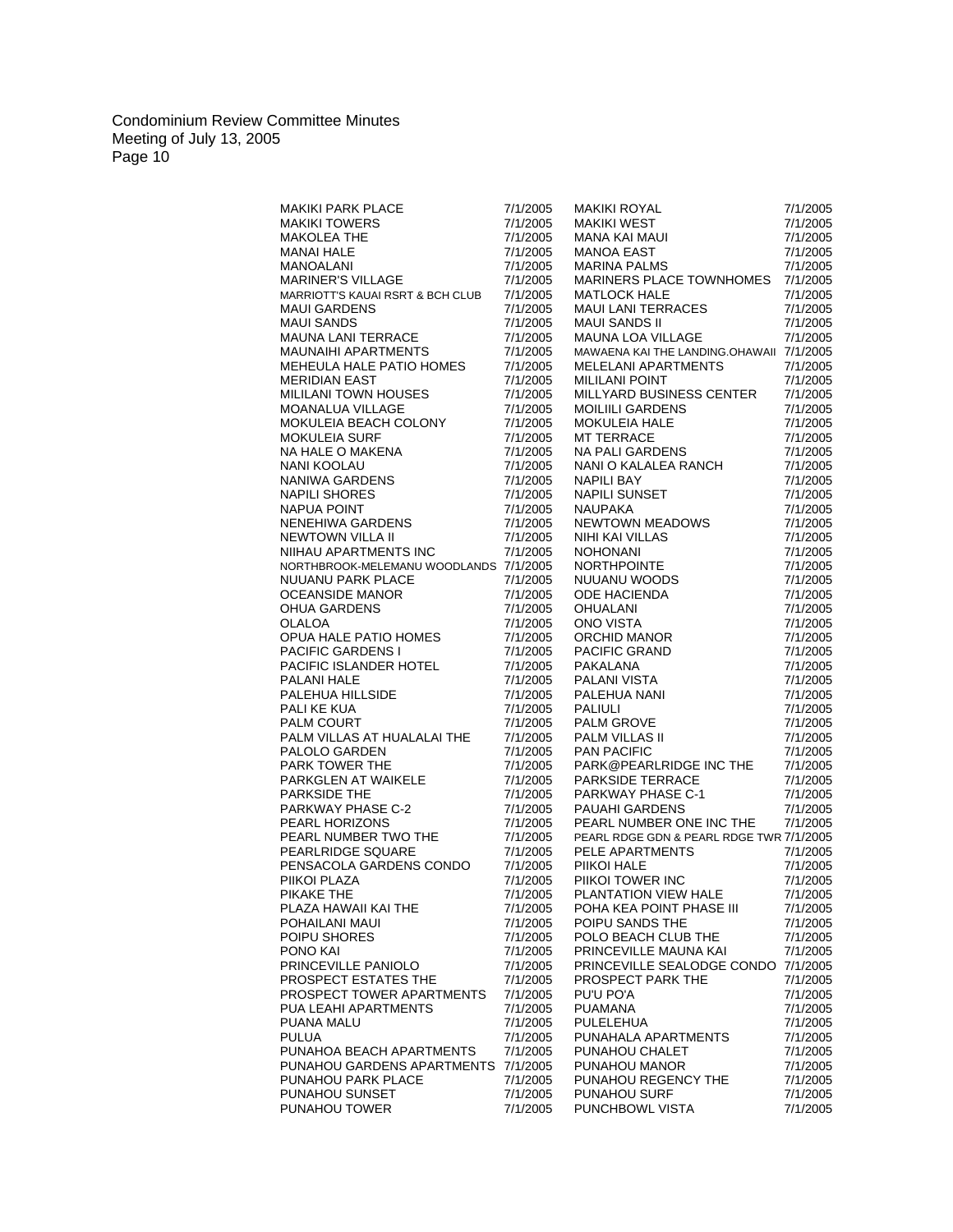| <b>MAKIKI PARK PLACE</b>                                                                                                                                                                          | 7/1/2005             | <b>MAKIKI ROYAL</b>                                                                                                                                                                                                                                                                  | 7/1/2005             |
|---------------------------------------------------------------------------------------------------------------------------------------------------------------------------------------------------|----------------------|--------------------------------------------------------------------------------------------------------------------------------------------------------------------------------------------------------------------------------------------------------------------------------------|----------------------|
| <b>MAKIKI TOWERS</b>                                                                                                                                                                              | 7/1/2005             | MAKIKI WEST                                                                                                                                                                                                                                                                          | 7/1/2005             |
| <b>MAKOLEA THE</b>                                                                                                                                                                                | 7/1/2005             | MANA KAI MAUI                                                                                                                                                                                                                                                                        | 7/1/2005             |
| <b>MANAI HALE</b>                                                                                                                                                                                 | 7/1/2005             | MANOA EAST                                                                                                                                                                                                                                                                           | 7/1/2005             |
| CE<br>GE<br>CHE<br>MANOALANI                                                                                                                                                                      | 7/1/2005             | <b>MARINA PALMS</b>                                                                                                                                                                                                                                                                  | 7/1/2005             |
| MARINER'S VILLAGE                                                                                                                                                                                 | 7/1/2005             | MARINERS PLACE TOWNHOMES                                                                                                                                                                                                                                                             | 7/1/2005             |
| MARRIOTT'S KAUAI RSRT & BCH CLUB                                                                                                                                                                  | 7/1/2005             | <b>MATLOCK HALE</b>                                                                                                                                                                                                                                                                  | 7/1/2005             |
| <b>MAUI GARDENS</b>                                                                                                                                                                               | 7/1/2005             | MAUI LANI TERRACES                                                                                                                                                                                                                                                                   | 7/1/2005             |
| <b>MAUI SANDS</b>                                                                                                                                                                                 | 7/1/2005             | <b>MAUI SANDS II</b>                                                                                                                                                                                                                                                                 | 7/1/2005             |
| MAUNA LANI TERRACE                                                                                                                                                                                | 7/1/2005             | MAUNA LOA VILLAGE                                                                                                                                                                                                                                                                    | 7/1/2005             |
| MAUNAIHI APARTMENTS                                                                                                                                                                               | 7/1/2005             | MAWAENA KAI THE LANDING.OHAWAII 7/1/2005                                                                                                                                                                                                                                             |                      |
| MEHEULA HALE PATIO HOMES                                                                                                                                                                          | 7/1/2005             | MELELANI APARTMENTS                                                                                                                                                                                                                                                                  | 7/1/2005             |
| <b>MERIDIAN EAST</b>                                                                                                                                                                              | 7/1/2005             | <b>MILILANI POINT</b>                                                                                                                                                                                                                                                                | 7/1/2005             |
| <b>MILILANI TOWN HOUSES</b>                                                                                                                                                                       | 7/1/2005             | MILLYARD BUSINESS CENTER                                                                                                                                                                                                                                                             | 7/1/2005             |
| <b>MOANALUA VILLAGE</b>                                                                                                                                                                           | 7/1/2005             | <b>MOILIILI GARDENS</b>                                                                                                                                                                                                                                                              | 7/1/2005             |
| MOKULEIA BEACH COLONY                                                                                                                                                                             | 7/1/2005             | MOILIILI GARDENS<br>MOKULEIA HALE<br>MT TERRACE<br>NA PALI GARDENS<br>NANI O KALALEA RANCH                                                                                                                                                                                           | 7/1/2005             |
| <b>MOKULEIA SURF</b>                                                                                                                                                                              | 7/1/2005             |                                                                                                                                                                                                                                                                                      | 7/1/2005             |
| NA HALE O MAKENA                                                                                                                                                                                  | 7/1/2005             |                                                                                                                                                                                                                                                                                      | 7/1/2005             |
|                                                                                                                                                                                                   | 7/1/2005             |                                                                                                                                                                                                                                                                                      | 7/1/2005             |
|                                                                                                                                                                                                   | 7/1/2005             | <b>NAPILI BAY</b>                                                                                                                                                                                                                                                                    | 7/1/2005             |
|                                                                                                                                                                                                   | 7/1/2005             | <b>NAPILI SUNSET</b>                                                                                                                                                                                                                                                                 | 7/1/2005             |
|                                                                                                                                                                                                   | 7/1/2005             | <b>NAUPAKA</b>                                                                                                                                                                                                                                                                       | 7/1/2005             |
|                                                                                                                                                                                                   | 7/1/2005             |                                                                                                                                                                                                                                                                                      | 7/1/2005             |
|                                                                                                                                                                                                   | 7/1/2005             |                                                                                                                                                                                                                                                                                      | 7/1/2005             |
| <b>AN TIALE O MAKENA<br/>NANI KOOLAU<br/>NANIWA GARDENS<br/>NAPILI SHORES<br/>NAPUA POINT<br/>NENEHIWA GARDENS<br/>NEWTOWN VILLA II<br/>NIIHAU APARTMENTS INC<br/>NORTHBROOK-MELEMANI UNCOLLE</b> | 7/1/2005             |                                                                                                                                                                                                                                                                                      | 7/1/2005             |
| NORTHBROOK-MELEMANU WOODLANDS 7/1/2005                                                                                                                                                            |                      |                                                                                                                                                                                                                                                                                      | 7/1/2005             |
| NUUANU PARK PLACE                                                                                                                                                                                 | 7/1/2005             |                                                                                                                                                                                                                                                                                      | 7/1/2005             |
| <b>OCEANSIDE MANOR</b>                                                                                                                                                                            | 7/1/2005             |                                                                                                                                                                                                                                                                                      | 7/1/2005             |
| OHUA GARDENS                                                                                                                                                                                      | 7/1/2005             |                                                                                                                                                                                                                                                                                      | 7/1/2005             |
| OLALOA                                                                                                                                                                                            | 7/1/2005             |                                                                                                                                                                                                                                                                                      | 7/1/2005             |
| OPUA HALE PATIO HOMES                                                                                                                                                                             | 7/1/2005             |                                                                                                                                                                                                                                                                                      | 7/1/2005             |
| <b>PACIFIC GARDENS I</b>                                                                                                                                                                          | 7/1/2005             |                                                                                                                                                                                                                                                                                      | 7/1/2005             |
| PACIFIC ISLANDER HOTEL                                                                                                                                                                            | 7/1/2005             | NAPILI SUNSET<br>NAUPAKA<br>NEWTOWN MEADOWS<br>NIHI KAI VILLAS<br>NOHONANI<br>NORTHPOINTE<br>NUUANU WOODS<br>ODE HACIENDA<br>OHUALANI<br>ONO VISTA<br>ORCHID MANOR<br>PACIFIC GRAND<br>PAKALANA<br>PALANI VISTA<br>PACIFIC GRAND<br>PAKALANA<br>PALANI VISTA<br>PALANI VISTA<br>PALE | 7/1/2005             |
| PALANI HALE                                                                                                                                                                                       | 7/1/2005             |                                                                                                                                                                                                                                                                                      | 7/1/2005             |
| PALEHUA HILLSIDE                                                                                                                                                                                  | 7/1/2005             |                                                                                                                                                                                                                                                                                      | 7/1/2005             |
| PALI KE KUA                                                                                                                                                                                       | 7/1/2005             |                                                                                                                                                                                                                                                                                      | 7/1/2005             |
| PALM COURT                                                                                                                                                                                        | 7/1/2005             |                                                                                                                                                                                                                                                                                      | 7/1/2005             |
| PALM VILLAS AT HUALALAI THE                                                                                                                                                                       | 7/1/2005             |                                                                                                                                                                                                                                                                                      | 7/1/2005             |
| PALOLO GARDEN                                                                                                                                                                                     | 7/1/2005             | <b>PAN PACIFIC</b>                                                                                                                                                                                                                                                                   | 7/1/2005             |
| PARK TOWER THE                                                                                                                                                                                    | 7/1/2005             | PARK@PEARLRIDGE INC THE                                                                                                                                                                                                                                                              | 7/1/2005             |
| PARKGLEN AT WAIKELE                                                                                                                                                                               | 7/1/2005             | <b>PARKWAY PHASE C-1</b><br>PARKWAY PHASE C-1<br>PAUAHI GARDENS                                                                                                                                                                                                                      | 7/1/2005             |
| PARKSIDE THE                                                                                                                                                                                      | 7/1/2005             |                                                                                                                                                                                                                                                                                      | 7/1/2005             |
| PARKNUE THE<br>PARKWAY PHASE C-2                                                                                                                                                                  | 7/1/2005             |                                                                                                                                                                                                                                                                                      | 7/1/2005             |
| PEARL HORIZONS                                                                                                                                                                                    | 7/1/2005             | PEARL NUMBER ONE INC THE                                                                                                                                                                                                                                                             | 7/1/2005             |
| PEARL NUMBER TWO THE                                                                                                                                                                              | 7/1/2005             | PEARL RDGE GDN & PEARL RDGE TWR 7/1/2005                                                                                                                                                                                                                                             |                      |
| PEARLRIDGE SQUARE                                                                                                                                                                                 | 7/1/2005             | PELE APARTMENTS                                                                                                                                                                                                                                                                      | 7/1/2005             |
| PENSACOLA GARDENS CONDO                                                                                                                                                                           | 7/1/2005             | PIIKOI HALE                                                                                                                                                                                                                                                                          | 7/1/2005             |
| PIIKOI PLAZA                                                                                                                                                                                      | 7/1/2005             | PIIKOI TOWER INC                                                                                                                                                                                                                                                                     | 7/1/2005             |
| PIKAKE THE                                                                                                                                                                                        | 7/1/2005             | PLANTATION VIEW HALE                                                                                                                                                                                                                                                                 | 7/1/2005             |
| PLAZA HAWAII KAI THE                                                                                                                                                                              | 7/1/2005             | POHA KEA POINT PHASE III                                                                                                                                                                                                                                                             | 7/1/2005             |
| POHAILANI MAUI                                                                                                                                                                                    | 7/1/2005             | POIPU SANDS THE                                                                                                                                                                                                                                                                      | 7/1/2005             |
| POIPU SHORES                                                                                                                                                                                      | 7/1/2005             | POLO BEACH CLUB THE                                                                                                                                                                                                                                                                  | 7/1/2005             |
| PONO KAI                                                                                                                                                                                          | 7/1/2005             | PRINCEVILLE MAUNA KAI                                                                                                                                                                                                                                                                | 7/1/2005             |
| PRINCEVILLE PANIOLO                                                                                                                                                                               | 7/1/2005             | PRINCEVILLE SEALODGE CONDO                                                                                                                                                                                                                                                           | 7/1/2005             |
| PROSPECT ESTATES THE                                                                                                                                                                              | 7/1/2005             | PROSPECT PARK THE                                                                                                                                                                                                                                                                    | 7/1/2005             |
| PROSPECT TOWER APARTMENTS                                                                                                                                                                         | 7/1/2005             | PU'U PO'A                                                                                                                                                                                                                                                                            | 7/1/2005             |
| PUA LEAHI APARTMENTS                                                                                                                                                                              | 7/1/2005             | <b>PUAMANA</b>                                                                                                                                                                                                                                                                       | 7/1/2005             |
| PUANA MALU                                                                                                                                                                                        | 7/1/2005             | PULELEHUA                                                                                                                                                                                                                                                                            | 7/1/2005             |
| PULUA                                                                                                                                                                                             | 7/1/2005             | PUNAHALA APARTMENTS                                                                                                                                                                                                                                                                  | 7/1/2005             |
| PUNAHOA BEACH APARTMENTS                                                                                                                                                                          | 7/1/2005             | PUNAHOU CHALET                                                                                                                                                                                                                                                                       | 7/1/2005             |
| PUNAHOU GARDENS APARTMENTS                                                                                                                                                                        | 7/1/2005             | PUNAHOU MANOR<br>PUNAHOU REGENCY THE                                                                                                                                                                                                                                                 | 7/1/2005             |
| PUNAHOU PARK PLACE<br>PUNAHOU SUNSET                                                                                                                                                              | 7/1/2005             |                                                                                                                                                                                                                                                                                      | 7/1/2005             |
| PUNAHOU TOWER                                                                                                                                                                                     | 7/1/2005<br>7/1/2005 | <b>PUNAHOU SURF</b><br>PUNCHBOWL VISTA                                                                                                                                                                                                                                               | 7/1/2005<br>7/1/2005 |
|                                                                                                                                                                                                   |                      |                                                                                                                                                                                                                                                                                      |                      |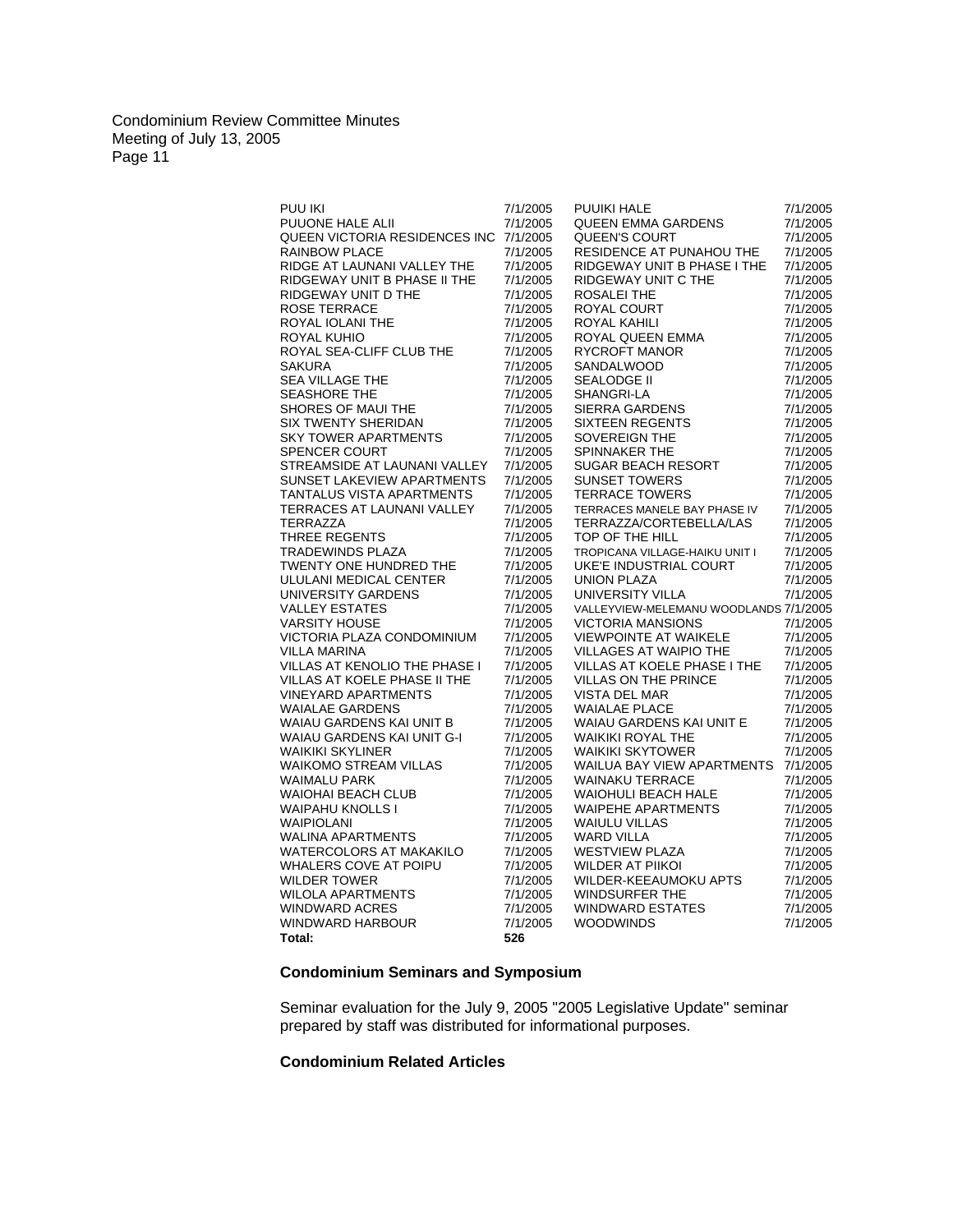| PUU IKI                                | 7/1/2005 | PUUIKI HALE                            | 7/1/2005 |
|----------------------------------------|----------|----------------------------------------|----------|
| PUUONE HALE ALII                       | 7/1/2005 | QUEEN EMMA GARDENS                     | 7/1/2005 |
| QUEEN VICTORIA RESIDENCES INC 7/1/2005 |          | QUEEN'S COURT                          | 7/1/2005 |
|                                        |          |                                        |          |
| RAINBOW PLACE                          | 7/1/2005 | RESIDENCE AT PUNAHOU THE               | 7/1/2005 |
| RIDGE AT LAUNANI VALLEY THE            | 7/1/2005 | RIDGEWAY UNIT B PHASE I THE            | 7/1/2005 |
| RIDGEWAY UNIT B PHASE II THE           | 7/1/2005 | RIDGEWAY UNIT C THE                    | 7/1/2005 |
| RIDGEWAY UNIT D THE                    | 7/1/2005 | <b>ROSALEI THE</b>                     | 7/1/2005 |
| <b>ROSE TERRACE</b>                    | 7/1/2005 | ROYAL COURT                            | 7/1/2005 |
| ROYAL IOLANI THE                       | 7/1/2005 | ROYAL KAHILI                           | 7/1/2005 |
| ROYAL KUHIO                            | 7/1/2005 | ROYAL QUEEN EMMA                       | 7/1/2005 |
| ROYAL SEA-CLIFF CLUB THE               | 7/1/2005 | RYCROFT MANOR                          | 7/1/2005 |
| <b>SAKURA</b>                          | 7/1/2005 | SANDALWOOD                             | 7/1/2005 |
| SEA VILLAGE THE                        | 7/1/2005 | SEALODGE II                            | 7/1/2005 |
| SEASHORE THE                           | 7/1/2005 | SHANGRI-LA                             | 7/1/2005 |
| SHORES OF MAUI THE                     | 7/1/2005 | SIERRA GARDENS                         | 7/1/2005 |
| <b>SIX TWENTY SHERIDAN</b>             | 7/1/2005 | <b>SIXTEEN REGENTS</b>                 | 7/1/2005 |
| <b>SKY TOWER APARTMENTS</b>            | 7/1/2005 | SOVEREIGN THE                          | 7/1/2005 |
| <b>SPENCER COURT</b>                   | 7/1/2005 | SPINNAKER THE                          | 7/1/2005 |
| STREAMSIDE AT LAUNANI VALLEY           | 7/1/2005 | SUGAR BEACH RESORT                     | 7/1/2005 |
| SUNSET LAKEVIEW APARTMENTS             | 7/1/2005 | <b>SUNSET TOWERS</b>                   | 7/1/2005 |
| TANTALUS VISTA APARTMENTS              | 7/1/2005 | <b>TERRACE TOWERS</b>                  | 7/1/2005 |
| TERRACES AT LAUNANI VALLEY             | 7/1/2005 | TERRACES MANELE BAY PHASE IV           | 7/1/2005 |
| <b>TERRAZZA</b>                        | 7/1/2005 | TERRAZZA/CORTEBELLA/LAS                | 7/1/2005 |
| <b>THREE REGENTS</b>                   | 7/1/2005 | TOP OF THE HILL                        | 7/1/2005 |
| TRADEWINDS PLAZA                       |          |                                        |          |
|                                        | 7/1/2005 | TROPICANA VILLAGE-HAIKU UNIT I         | 7/1/2005 |
| TWENTY ONE HUNDRED THE                 | 7/1/2005 | UKE'E INDUSTRIAL COURT                 | 7/1/2005 |
| ULULANI MEDICAL CENTER                 | 7/1/2005 | <b>UNION PLAZA</b>                     | 7/1/2005 |
| UNIVERSITY GARDENS                     | 7/1/2005 | UNIVERSITY VILLA                       | 7/1/2005 |
| <b>VALLEY ESTATES</b>                  | 7/1/2005 | VALLEYVIEW-MELEMANU WOODLANDS 7/1/2005 |          |
| <b>VARSITY HOUSE</b>                   | 7/1/2005 | <b>VICTORIA MANSIONS</b>               | 7/1/2005 |
| VICTORIA PLAZA CONDOMINIUM             | 7/1/2005 | <b>VIEWPOINTE AT WAIKELE</b>           | 7/1/2005 |
| VILLA MARINA                           | 7/1/2005 | VILLAGES AT WAIPIO THE                 | 7/1/2005 |
| VILLAS AT KENOLIO THE PHASE I          | 7/1/2005 | VILLAS AT KOELE PHASE I THE            | 7/1/2005 |
| VILLAS AT KOELE PHASE II THE           | 7/1/2005 | VILLAS ON THE PRINCE                   | 7/1/2005 |
| <b>VINEYARD APARTMENTS</b>             | 7/1/2005 | <b>VISTA DEL MAR</b>                   | 7/1/2005 |
| <b>WAIALAE GARDENS</b>                 | 7/1/2005 | <b>WAIALAE PLACE</b>                   | 7/1/2005 |
| WAIAU GARDENS KAI UNIT B               | 7/1/2005 | WAIAU GARDENS KAI UNIT E               | 7/1/2005 |
| WAIAU GARDENS KAI UNIT G-I             | 7/1/2005 | <b>WAIKIKI ROYAL THE</b>               | 7/1/2005 |
| <b>WAIKIKI SKYLINER</b>                | 7/1/2005 | <b>WAIKIKI SKYTOWER</b>                | 7/1/2005 |
| <b>WAIKOMO STREAM VILLAS</b>           | 7/1/2005 | WAILUA BAY VIEW APARTMENTS             | 7/1/2005 |
| <b>WAIMALU PARK</b>                    | 7/1/2005 | <b>WAINAKU TERRACE</b>                 | 7/1/2005 |
| WAIOHAI BEACH CLUB                     | 7/1/2005 | <b>WAIOHULI BEACH HALE</b>             | 7/1/2005 |
| <b>WAIPAHU KNOLLS I</b>                | 7/1/2005 | <b>WAIPEHE APARTMENTS</b>              | 7/1/2005 |
| WAIPIOLANI                             | 7/1/2005 | <b>WAIULU VILLAS</b>                   | 7/1/2005 |
| <b>WALINA APARTMENTS</b>               | 7/1/2005 | WARD VILLA                             | 7/1/2005 |
| <b>WATERCOLORS AT MAKAKILO</b>         | 7/1/2005 | <b>WESTVIEW PLAZA</b>                  | 7/1/2005 |
| WHALERS COVE AT POIPU                  | 7/1/2005 | WILDER AT PIIKOI                       | 7/1/2005 |
| <b>WILDER TOWER</b>                    | 7/1/2005 | WILDER-KEEAUMOKU APTS                  | 7/1/2005 |
| <b>WILOLA APARTMENTS</b>               | 7/1/2005 | <b>WINDSURFER THE</b>                  | 7/1/2005 |
| <b>WINDWARD ACRES</b>                  | 7/1/2005 | <b>WINDWARD ESTATES</b>                | 7/1/2005 |
| WINDWARD HARBOUR                       | 7/1/2005 | <b>WOODWINDS</b>                       | 7/1/2005 |
| Total:                                 | 526      |                                        |          |
|                                        |          |                                        |          |

# **Condominium Seminars and Symposium**

Seminar evaluation for the July 9, 2005 "2005 Legislative Update" seminar prepared by staff was distributed for informational purposes.

# **Condominium Related Articles**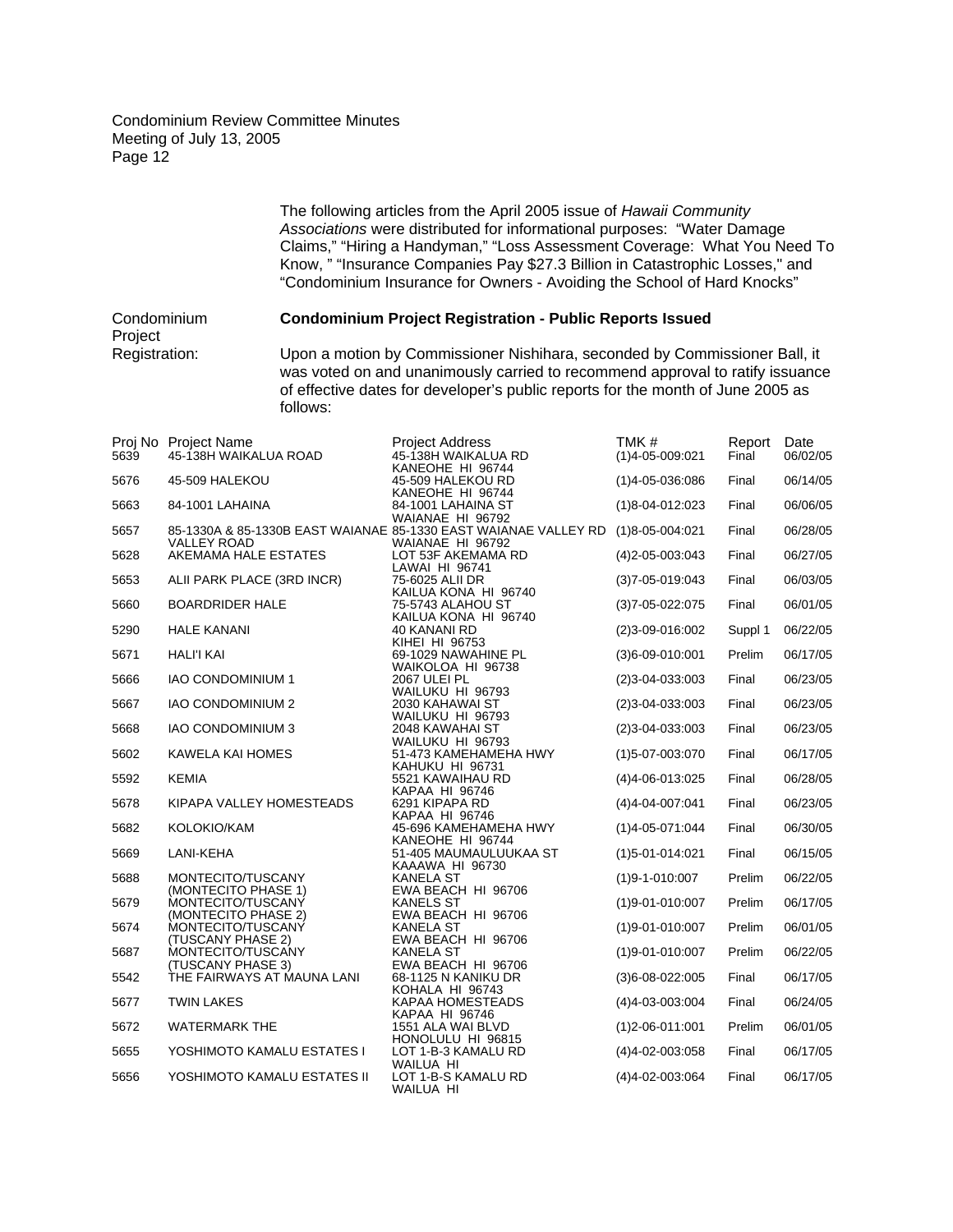> The following articles from the April 2005 issue of *Hawaii Community Associations* were distributed for informational purposes: "Water Damage Claims," "Hiring a Handyman," "Loss Assessment Coverage: What You Need To Know, " "Insurance Companies Pay \$27.3 Billion in Catastrophic Losses," and "Condominium Insurance for Owners - Avoiding the School of Hard Knocks"

Condominium **Condominium Project Registration - Public Reports Issued** Project<br>Registration: Upon a motion by Commissioner Nishihara, seconded by Commissioner Ball, it was voted on and unanimously carried to recommend approval to ratify issuance of effective dates for developer's public reports for the month of June 2005 as follows:

| 5639 | Proj No Project Name<br>45-138H WAIKALUA ROAD | <b>Project Address</b><br>45-138H WAIKALUA RD<br>KANEOHE HI 96744                                   | TMK#<br>$(1)4 - 05 - 009:021$ | Report<br>Final | Date<br>06/02/05 |
|------|-----------------------------------------------|-----------------------------------------------------------------------------------------------------|-------------------------------|-----------------|------------------|
| 5676 | 45-509 HALEKOU                                | 45-509 HALEKOU RD<br>KANEOHE HI 96744                                                               | $(1)4 - 05 - 036.086$         | Final           | 06/14/05         |
| 5663 | 84-1001 LAHAINA                               | 84-1001 LAHAINA ST<br>WAIANAE HI 96792                                                              | $(1)8 - 04 - 012 \cdot 023$   | Final           | 06/06/05         |
| 5657 | <b>VALLEY ROAD</b>                            | 85-1330A & 85-1330B EAST WAIANAE 85-1330 EAST WAIANAE VALLEY RD (1)8-05-004:021<br>WAIANAE HI 96792 |                               | Final           | 06/28/05         |
| 5628 | AKEMAMA HALE ESTATES                          | LOT 53F AKEMAMA RD<br>LAWAI HI 96741                                                                | $(4)$ 2-05-003:043            | Final           | 06/27/05         |
| 5653 | ALII PARK PLACE (3RD INCR)                    | 75-6025 ALII DR<br>KAILUA KONA HI 96740                                                             | $(3)7 - 05 - 019.043$         | Final           | 06/03/05         |
| 5660 | <b>BOARDRIDER HALE</b>                        | 75-5743 ALAHOU ST<br>KAILUA KONA HI 96740                                                           | $(3)7 - 05 - 022:075$         | Final           | 06/01/05         |
| 5290 | <b>HALE KANANI</b>                            | 40 KANANI RD<br>KIHEI HI 96753                                                                      | $(2)3 - 09 - 016:002$         | Suppl 1         | 06/22/05         |
| 5671 | <b>HALI'I KAI</b>                             | 69-1029 NAWAHINE PL<br>WAIKOLOA HI 96738                                                            | $(3)6 - 09 - 010:001$         | Prelim          | 06/17/05         |
| 5666 | <b>IAO CONDOMINIUM 1</b>                      | 2067 ULEI PL<br>WAILUKU HI 96793                                                                    | $(2)3 - 04 - 033 \cdot 003$   | Final           | 06/23/05         |
| 5667 | <b>IAO CONDOMINIUM 2</b>                      | 2030 KAHAWAI ST<br>WAILUKU HI 96793                                                                 | $(2)3 - 04 - 033 \cdot 003$   | Final           | 06/23/05         |
| 5668 | <b>IAO CONDOMINIUM 3</b>                      | 2048 KAWAHAI ST<br>WAILUKU HI 96793                                                                 | $(2)3 - 04 - 033 \cdot 003$   | Final           | 06/23/05         |
| 5602 | KAWELA KAI HOMES                              | 51-473 KAMEHAMEHA HWY<br>KAHUKU HI 96731                                                            | $(1)5 - 07 - 003.070$         | Final           | 06/17/05         |
| 5592 | <b>KEMIA</b>                                  | 5521 KAWAIHAU RD<br>KAPAA HI 96746                                                                  | $(4)4 - 06 - 013.025$         | Final           | 06/28/05         |
| 5678 | KIPAPA VALLEY HOMESTEADS                      | 6291 KIPAPA RD<br>KAPAA HI 96746                                                                    | $(4)4 - 04 - 007:041$         | Final           | 06/23/05         |
| 5682 | KOLOKIO/KAM                                   | 45-696 KAMEHAMEHA HWY<br>KANEOHE HI 96744                                                           | $(1)4 - 05 - 071$ :044        | Final           | 06/30/05         |
| 5669 | LANI-KEHA                                     | 51-405 MAUMAULUUKAA ST<br>KAAAWA HI 96730                                                           | $(1)5 - 01 - 014$ :021        | Final           | 06/15/05         |
| 5688 | MONTECITO/TUSCANY<br>(MONTECITO PHASE 1)      | <b>KANELA ST</b><br>EWA BEACH HI 96706                                                              | $(1)9 - 1 - 010:007$          | Prelim          | 06/22/05         |
| 5679 | MONTECITO/TUSCANY<br>(MONTECITO PHASE 2)      | <b>KANELS ST</b><br>EWA BEACH HI 96706                                                              | $(1)9 - 01 - 010:007$         | Prelim          | 06/17/05         |
| 5674 | MONTECITO/TUSCANY<br>(TUSCANY PHASE 2)        | <b>KANELA ST</b><br>EWA BEACH HI 96706                                                              | $(1)9 - 01 - 010:007$         | Prelim          | 06/01/05         |
| 5687 | MONTECITO/TUSCANY<br>(TUSCANY PHASE 3)        | <b>KANELA ST</b><br>EWA BEACH HI 96706                                                              | $(1)9 - 01 - 010:007$         | Prelim          | 06/22/05         |
| 5542 | THE FAIRWAYS AT MAUNA LANI                    | 68-1125 N KANIKU DR<br>KOHALA HI 96743                                                              | $(3)6 - 08 - 022:005$         | Final           | 06/17/05         |
| 5677 | <b>TWIN LAKES</b>                             | KAPAA HOMESTEADS<br>KAPAA HI 96746                                                                  | $(4)4 - 03 - 003 \cdot 004$   | Final           | 06/24/05         |
| 5672 | <b>WATERMARK THE</b>                          | 1551 ALA WAI BLVD<br>HONOLULU HI 96815                                                              | $(1)2 - 06 - 011:001$         | Prelim          | 06/01/05         |
| 5655 | YOSHIMOTO KAMALU ESTATES I                    | LOT 1-B-3 KAMALU RD<br>WAILUA HI                                                                    | $(4)4 - 02 - 003:058$         | Final           | 06/17/05         |
| 5656 | YOSHIMOTO KAMALU ESTATES II                   | LOT 1-B-S KAMALU RD<br>WAILUA HI                                                                    | $(4)4 - 02 - 003.064$         | Final           | 06/17/05         |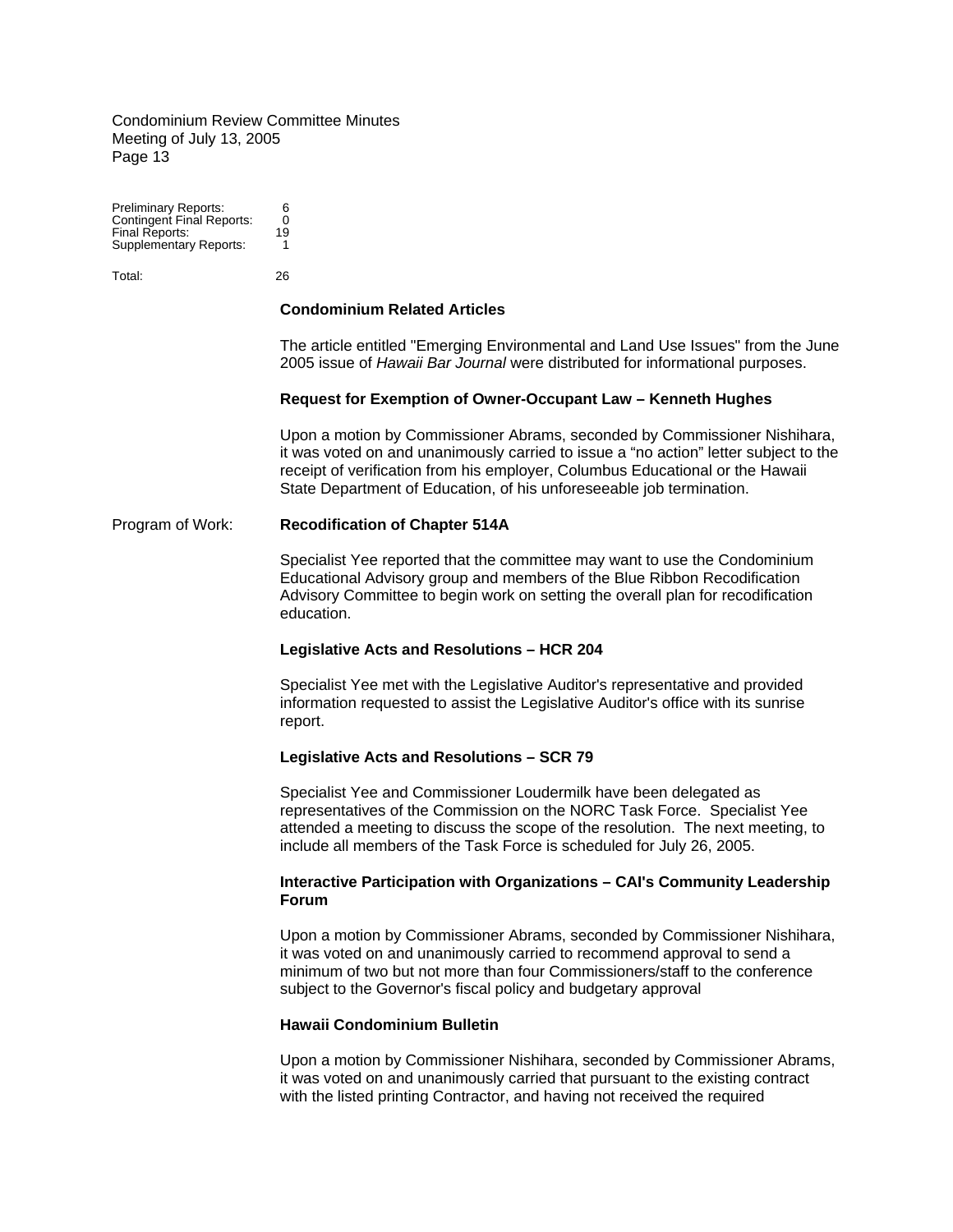Preliminary Reports: 6 Contingent Final Reports: 0 Final Reports: 19 Supplementary Reports: 1

Total: 26

### **Condominium Related Articles**

The article entitled "Emerging Environmental and Land Use Issues" from the June 2005 issue of *Hawaii Bar Journal* were distributed for informational purposes.

#### **Request for Exemption of Owner-Occupant Law – Kenneth Hughes**

Upon a motion by Commissioner Abrams, seconded by Commissioner Nishihara, it was voted on and unanimously carried to issue a "no action" letter subject to the receipt of verification from his employer, Columbus Educational or the Hawaii State Department of Education, of his unforeseeable job termination.

#### Program of Work: **Recodification of Chapter 514A**

Specialist Yee reported that the committee may want to use the Condominium Educational Advisory group and members of the Blue Ribbon Recodification Advisory Committee to begin work on setting the overall plan for recodification education.

#### **Legislative Acts and Resolutions – HCR 204**

Specialist Yee met with the Legislative Auditor's representative and provided information requested to assist the Legislative Auditor's office with its sunrise report.

#### **Legislative Acts and Resolutions – SCR 79**

Specialist Yee and Commissioner Loudermilk have been delegated as representatives of the Commission on the NORC Task Force. Specialist Yee attended a meeting to discuss the scope of the resolution. The next meeting, to include all members of the Task Force is scheduled for July 26, 2005.

#### **Interactive Participation with Organizations – CAI's Community Leadership Forum**

Upon a motion by Commissioner Abrams, seconded by Commissioner Nishihara, it was voted on and unanimously carried to recommend approval to send a minimum of two but not more than four Commissioners/staff to the conference subject to the Governor's fiscal policy and budgetary approval

#### **Hawaii Condominium Bulletin**

Upon a motion by Commissioner Nishihara, seconded by Commissioner Abrams, it was voted on and unanimously carried that pursuant to the existing contract with the listed printing Contractor, and having not received the required